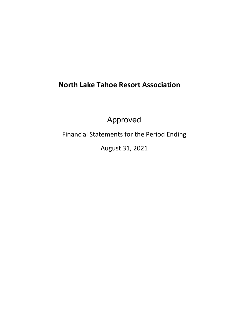# **North Lake Tahoe Resort Association**

Approved

Financial Statements for the Period Ending

August 31, 2021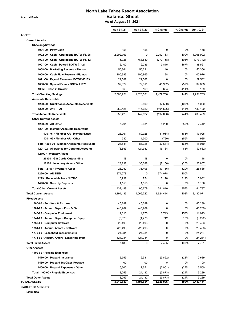**Accrual Basis**

# **North Lake Tahoe Resort Association Balance Sheet**

 **As of August 31, 2021**

| ASSETS                                    | Aug 31, 21 | Aug 31, 20 | \$ Change  | % Change  | Jun 30, 21 |
|-------------------------------------------|------------|------------|------------|-----------|------------|
| <b>Current Assets</b>                     |            |            |            |           |            |
| <b>Checking/Savings</b>                   |            |            |            |           |            |
| 1001-00 · Petty Cash                      | 158        | 158        | 0          | 0%        | 158        |
| 1002-00 Cash - Operations BOTW #8328      | 2,292,763  | 0          | 2,292,763  | 100%      | 1,965,992  |
| 1003-00 Cash - Operations BOTW #6712      | (6,928)    | 763,830    | (770, 758) | (101%)    | (273, 742) |
| 1007-00 Cash - Payroll BOTW #7421         | 6,100      | 2,285      | 3,815      | 167%      | 38,521     |
| 1008-00 · Marketing Reserve - Plumas      | 50,361     | 50,321     | 40         | 0%        | 50,356     |
| 1009-00 · Cash Flow Reserve - Plumas      | 100,993    | 100,865    | 128        | 0%        | 100,976    |
| 1071-00 · Payroll Reserves BOTW #8163     | 29,582     | 29,582     | 0          | 0%        | 29,582     |
| 1080-00 · Special Events BOTW #1626       | 32,329     | 79,311     | (46, 982)  | (59%)     | 39,803     |
| 10950 · Cash in Drawer                    | 863        | 169        | 694        | 411%      | 139        |
| <b>Total Checking/Savings</b>             | 2,506,221  | 1,026,521  | 1,479,700  | 144%      | 1,951,785  |
| <b>Accounts Receivable</b>                |            |            |            |           |            |
| 1200-00 Quickbooks Accounts Receivable    | 0          | 2,500      | (2,500)    | $(100\%)$ | 1,000      |
| 1290-00 · A/R - TOT                       | 250,426    | 445,022    | (194, 596) | (44%)     | 432,499    |
| <b>Total Accounts Receivable</b>          | 250,426    | 447,522    | (197,096)  | (44%)     | 433,499    |
| <b>Other Current Assets</b>               |            |            |            |           |            |
| $1200-99 \cdot AR$ Other                  | 7,291      | 2,031      | 5,260      | 259%      | 2,442      |
| 1201-00 Member Accounts Receivable        |            |            |            |           |            |
| 1201-01 · Member AR - Member Dues         | 28,061     | 80,025     | (51, 964)  | (65%)     | 17,025     |
| 1201-03 Member AR - Other                 | 580        | 1,300      | (720)      | (55%)     | 985        |
| Total 1201-00 Member Accounts Receivable  | 28,641     | 81,325     | (52, 684)  | (65%)     | 18,010     |
| 1201-02 · Allowance for Doubtful Accounts | (8, 853)   | (24, 987)  | 16,134     | 65%       | (9,632)    |
| 12100 · Inventory Asset                   |            |            |            |           |            |
| 25300 · Gift Cards Outstanding            | 18         | 18         | 0          | 0%        | 18         |
| 12100 · Inventory Asset - Other           | 28,232     | 35,388     | (7, 156)   | (20%)     | 26,867     |
| Total 12100 · Inventory Asset             | 28,250     | 35,406     | (7, 156)   | (20%)     | 26,885     |
| 1220-00 · AR TBID                         | 374,078    | 0          | 374,078    | 100%      |            |
| 1299 · Receivable from NLTMC              | 6,932      | 754        | 6,178      | 819%      | 5,932      |
| 1490-00 · Security Deposits               | 1,150      | 1,150      | 0          | 0%        | 1,150      |
| <b>Total Other Current Assets</b>         | 437,489    | 95,679     | 341,810    | 357%      | 44,787     |
| <b>Total Current Assets</b>               | 3,194,136  | 1,569,722  | 1,624,414  | 103%      | 2,430,071  |
| <b>Fixed Assets</b>                       |            |            |            |           |            |
| 1700-00 · Furniture & Fixtures            | 45,289     | 45,289     | 0          | 0%        | 45,289     |
| 1701-00 · Accum. Depr. - Furn & Fix       | (45, 289)  | (45, 289)  | 0          | 0%        | (45,289)   |
| 1740-00 Computer Equipment                | 11,013     | 4,270      | 6,743      | 158%      | 11,013     |
| 1741-00 · Accum. Depr. - Computer Equip   | (3,528)    | (4,270)    | 742        | 17%       | (3,222)    |
| 1750-00 Computer Software                 | 20,493     | 20,493     | 0          | 0%        | 20,493     |
| 1751-00 · Accum. Amort. - Software        | (20, 493)  | (20, 493)  | 0          | 0%        | (20,493)   |
| 1770-00 · Leasehold Improvements          | 24,284     | 24,284     | 0          | 0%        | 24,284     |
| 1771-00 · Accum. Amort - Leasehold Impr   | (24, 284)  | (24, 284)  | 0          | 0%        | (24, 284)  |
| <b>Total Fixed Assets</b>                 | 7,485      | 0          | 7,485      | 100%      | 7,791      |
| <b>Other Assets</b>                       |            |            |            |           |            |
| 1400-00 · Prepaid Expenses                |            |            |            |           |            |
| 1410-00 · Prepaid Insurance               | 12,559     | 16,381     | (3,822)    | (23%)     | 2,689      |
| 1430-00 · Prepaid 1st Class Postage       | 100        | 100        | 0          | 0%        | 100        |
| 1400-00 · Prepaid Expenses - Other        | 5,600      | 7,651      | (2,051)    | (27%)     | 6,500      |
| Total 1400-00 · Prepaid Expenses          | 18,259     | 24,132     | (5,873)    | (24%)     | 9,289      |
| <b>Total Other Assets</b>                 | 18,259     | 24,132     | (5,873)    | (24%)     | 9,289      |
| TOTAL ASSETS                              | 3,219,880  | 1,593,854  | 1,626,026  | 102%      | 2,447,151  |
| <b>LIABILITIES &amp; EQUITY</b>           |            |            |            |           |            |

**Liabilities**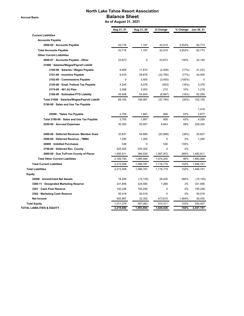**Accrual Basis**

# **North Lake Tahoe Resort Association Balance Sheet**

 **As of August 31, 2021**

|                                               | Aug 31, 21 | Aug 31, 20 | \$ Change   | % Change  | Jun 30, 21 |
|-----------------------------------------------|------------|------------|-------------|-----------|------------|
| <b>Current Liabilities</b>                    |            |            |             |           |            |
| <b>Accounts Payable</b>                       |            |            |             |           |            |
| 2000-00 · Accounts Payable                    | 43,716     | 1,197      | 42,519      | 3,552%    | 62,773     |
| <b>Total Accounts Payable</b>                 | 43,716     | 1,197      | 42,519      | 3,552%    | 62,773     |
| <b>Other Current Liabilities</b>              |            |            |             |           |            |
| 2000-01 · Accounts Payable - Other            | 23,673     | 0          | 23,673      | 100%      | 22,140     |
| 21000 · Salaries/Wages/Payroll Liabilit       |            |            |             |           |            |
| 2100-00 · Salaries / Wages Payable            | 9,806      | 11,815     | (2,009)     | (17%)     | 41,223     |
| 2101-00 · Incentive Payable                   | 6,916      | 29,676     | (22, 760)   | (77%)     | 44,055     |
| 2102-00 Commissions Payable                   | 0          | 3,500      | (3,500)     | $(100\%)$ | 0          |
| 2120-00 · Empl. Federal Tax Payable           | 4,245      | 5,078      | (833)       | (16%)     | 3,379      |
| 2175-00 · 401 (k) Plan                        | 2,268      | 2,053      | 215         | 10%       | 1,218      |
| 2180-00 · Estimated PTO Liability             | 45,948     | 54,845     | (8, 897)    | (16%)     | 62,280     |
| Total 21000 · Salaries/Wages/Payroll Liabilit | 69,183     | 106,967    | (37, 784)   | (35%)     | 152,155    |
| 2190-00 · Sales and Use Tax Payable           |            |            |             |           |            |
|                                               |            |            |             |           | 1,418      |
| 25500 · * Sales Tax Payable                   | 2.705      | 1,897      | 808         | 43%       | 2,877      |
| Total 2190-00 Sales and Use Tax Payable       | 2,705      | 1,897      | 808         | 43%       | 4,295      |
| 2250-00 · Accrued Expenses                    | 30,350     | 20,507     | 9,843       | 48%       | 200,350    |
| 2400-60 · Deferred Revenue- Member Dues       | 33,837     | 54,685     | (20, 848)   | (38%)     | 20,827     |
| 2500-00 · Deferred Revenue - TMBC             | 1,290      | 1,290      | $\pmb{0}$   | 0%        | 1,290      |
| 26900 · Unbilled Purchases                    | 536        | 0          | 536         | 100%      |            |
| 2700-00 · Deferred Rev. County                | 525,305    | 525,305    | 0           | 0%        |            |
| 2900-00 · Due To/From County of Placer        | 1,482,911  | 384,939    | 1,097,972   | 285%      | 1,482,911  |
| <b>Total Other Current Liabilities</b>        | 2,169,790  | 1,095,590  | 1,074,200   | 98%       | 1,883,968  |
| <b>Total Current Liabilities</b>              | 2,213,506  | 1,096,787  | 1,116,719   | 102%      | 1,946,741  |
| <b>Total Liabilities</b>                      | 2,213,506  | 1,096,787  | 1,116,719   | 102%      | 1,946,741  |
| Equity                                        |            |            |             |           |            |
| 32000 · Unrestricted Net Assets               | 18,285     | (10, 145)  | 28,430      | 280%      | (10, 145)  |
| 3300-11 Designated Marketing Reserve          | 331,856    | 324,590    | 7,266       | 2%        | 331,856    |
| 3301 · Cash Flow Reserve                      | 100,248    | 100,248    | $\mathbf 0$ | 0%        | 100,248    |
| 3302 · Marketing Cash Reserve                 | 50,018     | 50,018     | $\mathbf 0$ | 0%        | 50,018     |
| <b>Net Income</b>                             | 505,967    | 32,352     | 473,615     | 1,464%    | 28,430     |
| <b>Total Equity</b>                           | 1,011,374  | 497,063    | 514,311     | 103%      | 500,407    |
| <b>TOTAL LIABILITIES &amp; EQUITY</b>         | 3,219,880  | 1,593,854  | 1,626,026   | 102%      | 2,447,151  |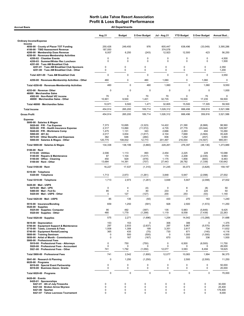| <b>Accrual Basis</b>                                                                  |                    | <b>All Departments</b> |                  |                    |                   |                  |                   |
|---------------------------------------------------------------------------------------|--------------------|------------------------|------------------|--------------------|-------------------|------------------|-------------------|
|                                                                                       | Aug 21             | <b>Budget</b>          | \$ Over Budget   | Jul - Aug 21       | <b>YTD Budget</b> | \$ Over Budget   | Annual Bud        |
| <b>Ordinary Income/Expense</b>                                                        |                    |                        |                  |                    |                   |                  |                   |
| Income<br>4050-00 County of Placer TOT Funding                                        | 250,426            | 249,450                | 976              | 605,447            | 638,496           | (33,049)         | 3,395,286         |
| 4100-00 · TBID Assessment Revenue                                                     | 187,050            |                        |                  | 374,078            |                   |                  |                   |
| 4200-00 · Membership Dues Revenue<br>4250-00 · Revenues-Membership Activities         | 6,007              | 6,250                  | (243)            | 12,923             | 12,500            | 423              | 56,250            |
| 4250-02 · Chamber Events<br>4250-03 · Summer/Winter Rec Luncheon                      | 0<br>$\Omega$      | 0<br>0                 | 0<br>$\mathbf 0$ | 0<br>$\Omega$      | 0<br>$\Omega$     | 0<br>0           | 4,500<br>1,500    |
| 4251-00 · Tues AM Breakfast Club                                                      |                    |                        |                  |                    |                   |                  |                   |
| 4251-01 · Tues AM Breakfast Club Sponsors<br>4251-00 · Tues AM Breakfast Club - Other | 0<br>0             | 0<br>$\mathbf 0$       | 0<br>0           | 0<br>0             | 0<br>$\mathbf 0$  | $\mathbf 0$<br>0 | 2,350<br>1,200    |
| Total 4251-00 · Tues AM Breakfast Club                                                | $\mathbf 0$        | 0                      | $\mathbf 0$      | 0                  | $\mathbf 0$       | $\mathbf 0$      | 3,550             |
| 4250-00 · Revenues-Membership Activities - Other                                      | 460                | 0                      | 460              | 1,060              | 0                 | 1,060            | $\mathbf 0$       |
| Total 4250-00 · Revenues-Membership Activities                                        | 460                | $\mathbf 0$            | 460              | 1,060              | $\Omega$          | 1,060            | 9,550             |
| 4253-00 · Revenue- Other                                                              | $\overline{0}$     | $\mathbf 0$            | $\mathbf 0$      | 0                  | $\mathbf 0$       | $\mathbf 0$      | 1,000             |
| 46000 · Merchandise Sales<br>4502-00 · Non-Retail VIC income                          | 70                 | 0                      | 70               | 70                 | 0                 | 70               | 0                 |
| 46000 · Merchandise Sales - Other                                                     | 10,901             | 9,500                  | 1,401            | 32,735             | 15,500            | 17,235           | 59,500            |
| Total 46000 · Merchandise Sales                                                       | 10,971             | 9,500                  | 1,471            | 32,805             | 15,500            | 17,305           | 59,500            |
| <b>Total Income</b>                                                                   | 454,914            | 265,200                | 189,714          | 1,026,312          | 666,496           | 359,816          | 3,521,586         |
| <b>Gross Profit</b>                                                                   | 454,914            | 265,200                | 189,714          | 1,026,312          | 666,496           | 359,816          | 3,521,586         |
| <b>Expense</b>                                                                        |                    |                        |                  |                    |                   |                  |                   |
| 5000-00 · Salaries & Wages<br>5020-00 · P/R - Tax Expense                             | 7,373              | 10,695                 | (3, 323)         | 14,422             | 21,390            | (6,968)          | 98,560            |
| 5030-00 · P/R - Health Insurance Expense                                              | 2,317              | 13,890                 | (11, 572)        | 4,735              | 27,779            | (23, 044)        | 128,597           |
| 5040-00 · P/R - Workmans Comp<br>5060-00 $\cdot$ 401 (k)                              | 1,475<br>2,017     | 1,131<br>3,834         | 343<br>(1, 817)  | 2,666<br>4,104     | 2,263<br>7,668    | 404<br>(3, 564)  | 10,260<br>35,428  |
| 5070-00 · Other Benefits and Expenses                                                 | 382                | 646                    | (264)            | 836                | 1,292             | (457)            | 5,993             |
| 5000-00 · Salaries & Wages - Other                                                    | 120,775            | 108,002                | 12,773           | 201,497            | 216,004           | (14, 507)        | 995,051           |
| Total 5000-00 · Salaries & Wages                                                      | 134,338            | 138,199                | (3,860)          | 228,261            | 276,397           | (48, 136)        | 1,273,889         |
| $5100-00 \cdot$ Rent                                                                  | 2,006              | 1,113                  | 893              | 2,454              | 2,225             | 229              |                   |
| $5110-00 \cdot$ Utilities<br>5140-00 · Repairs & Maintenance                          | 87                 | 1,104                  | (1,017)          | 174                | 2,208             | (2,035)          | 10,088<br>9,983   |
| 5150-00 · Office - Cleaning<br>5100-00 · Rent - Other                                 | 450<br>13,684      | 929<br>14,391          | (479)<br>(707)   | 1,175<br>27,443    | 1,858<br>28,782   | (683)            | 8,483<br>130,642  |
|                                                                                       |                    |                        |                  |                    |                   | (1, 339)         |                   |
| Total 5100-00 · Rent                                                                  | 16,227             | 17,537                 | (1,310)          | 31,245             | 35,073            | (3,828)          | 159,197           |
| $5310-00 \cdot$ Telephone<br>5320-00 · Telephone                                      | 1,713              | 2,973                  | (1,261)          | 3,848              | 5,947             | (2,098)          | 27,002            |
| Total 5310-00 · Telephone                                                             | 1,713              | 2,973                  | (1, 261)         | 3,848              | 5,947             | (2,098)          | 27,002            |
| 5420-00 Mail - USPS                                                                   |                    |                        |                  |                    |                   |                  |                   |
| 5470-00 · Mail - UPS<br>5480-00 Mail Fed Ex                                           | $\mathbf 0$<br>85  | 4<br>4                 | (4)<br>80        | $\mathbf 0$<br>233 | 8<br>8            | (8)<br>225       | 50<br>50          |
| 5420-00 · Mail - USPS - Other                                                         | 0                  | 127                    | (127)            | 200                | 253               | (53)             | 1,140             |
| Total 5420-00 · Mail - USPS                                                           | 85                 | 135                    | (50)             | 433                | 270               | 163              | 1,240             |
| 5510-00 · Insurance/Bonding                                                           | 659                | 1,250                  | (591)            | 928                | 2,500             | (1, 572)         | 11,250            |
| $5520-00 \cdot$ Supplies<br>5525-00 · Supplies- Computer                              | 95                 | 492                    | (397)            | 135                | 5,983             | (5, 849)         | 9,425             |
| 5520-00 · Supplies - Other                                                            | 480                | 1,779                  | (1, 299)         | 1,119              | 8,558             | (7, 439)         | 22,263            |
| Total 5520-00 · Supplies                                                              | 575                | 2,271                  | (1,696)          | 1,254              | 14,542            | (13, 288)        | 31,688            |
| 5610-00 · Depreciation                                                                | 153                | 153                    | $\mathbf 0$      | 306                | 306               | $\mathbf 0$      | 1,375             |
| 5700-00 · Equipment Support & Maintenance<br>5710-00 · Taxes, Licenses & Fees         | 297<br>1,508       | 2,933<br>1,308         | (2,637)<br>199   | 297<br>3,351       | 5,867<br>2,617    | (5,570)<br>734   | 26,400<br>11,832  |
| 5740-00 · Equipment Rental/Leasing                                                    | 365                | 435                    | (70)             | 730                | 871               | (140)            | 4,116             |
| 5800-00 · Training Seminars<br>5850-00 · Artist of Month - Commissions                | 0<br>$\mathbf 0$   | 500<br>167             | (500)<br>(167)   | 0<br>670           | 1,000<br>333      | (1,000)<br>336   | 4,500<br>1,500    |
| 5900-00 · Professional Fees<br>5910-00 · Professional Fees - Attorneys                | 0                  | 750                    | (750)            | 0                  | 6,500             | (6,500)          | 11,750            |
| 5920-00 · Professional Fees - Accountant<br>5921-00 · Professional Fees - Other       | $\mathbf 0$<br>741 | 0<br>1,792             | o<br>(1,050)     | 0<br>12,077        | 0<br>3,583        | 0<br>8,494       | 26,000<br>18,625  |
| Total 5900-00 · Professional Fees                                                     | 741                | 2,542                  | (1,800)          | 12,077             | 10,083            | 1,994            | 56,375            |
| 5941-00 · Research & Planning                                                         | $\mathbf 0$        | 1,250                  | (1,250)          | 0                  | 2,500             | (2,500)          | 11,250            |
| $6020-00 \cdot$ Programs<br>6016-00 · Special Event Partnership                       | 0                  | 0                      | 0                | 0                  | 0                 | 0                | 50,000            |
| 6018-00 · Business Assoc. Grants                                                      | 0                  | 0                      | 0                | 0                  | 0                 | 0                | 20,000            |
| Total 6020-00 · Programs                                                              | $\pmb{0}$          | $\pmb{0}$              | $\mathbf 0$      | $\pmb{0}$          | $\mathbf 0$       | $\mathbf 0$      | 70,000            |
| $6420-00 \cdot$ Events<br>6420-01 · Sponsorships                                      |                    |                        |                  |                    |                   |                  |                   |
| 6421-01 · 4th of July Fireworks                                                       | $\mathbf 0$        | 0                      | 0                | $\mathbf 0$        | 0                 | 0                | 30,000            |
| 6421-04 · Broken Arrow Skyrace<br>6421-06 · Spartan                                   | 0<br>0             | 0<br>0                 | 0<br>0           | 0<br>0             | 0<br>0            | 0<br>0           | 25,400<br>179,400 |
| 6421-07 · Tahoe Lacrosse Tournament                                                   | 0                  | $\mathbf 0$            | 0                | 0                  | 0                 | 0                | 8,000             |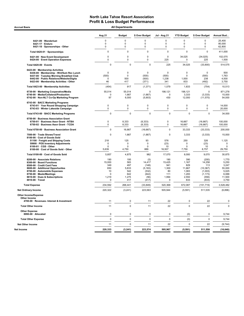Accrual Basis **Accrual Basis All Departments** 

| 6421-09 · Wanderlust<br>0<br>$\Omega$<br>0<br>$\mathbf 0$<br>$\mathbf 0$<br>0<br>0<br>$\Omega$<br>$\Omega$<br>$\mathbf 0$<br>$\mathbf 0$<br>$\Omega$<br>6421-17 · Enduro<br>0<br>$\pmb{0}$<br>$\mathbf 0$<br>$\mathbf 0$<br>$\mathbf 0$<br>$\mathbf 0$<br>6421-18 · Sponsorships - Other<br>$\mathbf 0$<br>Total 6420-01 · Sponsorships<br>$\mathbf 0$<br>0<br>$\mathbf 0$<br>$\Omega$<br>$\mathbf 0$<br>6421-00 · New Event Development<br>$\mathsf 0$<br>0<br>$\mathbf 0$<br>$\mathbf 0$<br>34,025<br>(34, 025)<br>6424-00 · Event Operation Expenses<br>$\mathbf 0$<br>$\mathbf 0$<br>225<br>0<br>$\mathbf 0$<br>225<br>$\pmb{0}$<br>$\mathbf 0$<br>$\pmb{0}$<br>225<br>Total 6420-00 · Events<br>34,025<br>(33, 800)<br>6423-00 · Membership Activities<br>$\mathbf 0$<br>$\mathbf 0$<br>6436-00 · Membership - Wnt/Sum Rec Lunch<br>$\mathbf 0$<br>0<br>$\mathbf 0$<br>$\mathbf 0$<br>6437-00 · Tuesday Morning Breakfast Club<br>(500)<br>0<br>(500)<br>(500)<br>$\Omega$<br>(500)<br>6442-00 · Public Relations/Website/Digita<br>500<br>(500)<br>1,238<br>1,000<br>$\mathbf 0$<br>238<br>833<br>6423-00 · Membership Activities - Other<br>46<br>417<br>(371)<br>341<br>(492)<br>917<br>Total 6423-00 · Membership Activities<br>(454)<br>(1, 371)<br>1,079<br>1,833<br>(754)<br>6730-00 · Marketing Cooperative/Media<br>55,014<br>55,014<br>198,121<br>198,121<br>0<br>0<br>6740-00 · Media/Collateral/Production<br>1,667<br>(1,667)<br>$\Omega$<br>3,333<br>(3, 333)<br>$\Omega$<br>97<br>6,000<br>(5,903)<br>430<br>12,000<br>(11, 570)<br>6742-00 · Non-NLT Co-Op Marketing Program<br>6743-00 · BACC Marketing Programs<br>6743-01 · Year Round Shopping Campaign<br>$\mathbf 0$<br>$\mathbf 0$<br>$\mathbf 0$<br>$\mathbf 0$<br>$\mathbf 0$<br>$\mathbf 0$<br>$\mathsf 0$<br>$\mathsf{O}\xspace$<br>$\mathbf 0$<br>6743-03 · Winter Lakeside Campaign<br>0<br>$\mathbf 0$<br>$\mathbf 0$<br>$\mathbf 0$<br>$\Omega$<br>Total 6743-00 · BACC Marketing Programs<br>$\mathbf 0$<br>0<br>$\Omega$<br>$\Omega$<br>6750-00 · Business Association Grant<br>6750-01 · Business Assn Grant - NTBA<br>$\mathsf 0$<br>8,333<br>(8, 333)<br>$\mathbf 0$<br>16,667<br>(16, 667)<br>$\mathsf 0$<br>$\mathbf 0$<br>16,667<br>6750-02 · Business Assn Grant - TCDA<br>8,333<br>(8, 333)<br>(16, 667)<br>$\mathbf 0$<br>16,667<br>$\Omega$<br>33,333<br>(33, 333)<br>Total 6750-00 · Business Association Grant<br>(16, 667)<br>$\pmb{0}$<br>1,667<br>$\Omega$<br>3,333<br>(3, 333)<br>7500-00 · Trade Shows/Travel<br>(1,667)<br>8100-00 · Cost of Goods Sold<br>218<br>125<br>93<br>576<br>250<br>326<br>51100 · Freight and Shipping Costs<br>59900 · POS Inventory Adjustments<br>0<br>0<br>0<br>(23)<br>0<br>(23)<br>8100-01 · CGS - Other<br>0<br>0<br>$\mathbf 0$<br>10<br>0<br>10<br>8100-00 · Cost of Goods Sold - Other<br>5,639<br>4,750<br>889<br>16,507<br>7,750<br>8,757<br>Total 8100-00 · Cost of Goods Sold<br>4,875<br>982<br>17,070<br>8,000<br>9,070<br>5,857<br>8200-00 · Associate Relations<br>190<br>195<br>190<br>390<br>(200)<br>(5)<br>8300-00 · Board Functions<br>15,000<br>583<br>14,417<br>15,425<br>1,167<br>14,258<br>8500-00 · Credit Card Fees<br>349<br>497<br>(148)<br>941<br>829<br>113<br>650<br>1,300<br>8600-00 · Additional Opportunites<br>5,833<br>(5, 183)<br>11,667<br>(10, 367)<br>8700-00 · Automobile Expenses<br>10<br>542<br>(532)<br>80<br>1,083<br>(1,003)<br>8750-00 · Meals/Meetings<br>$\Omega$<br>642<br>(642)<br>111<br>1,283<br>(1, 173)<br>8810-00 · Dues & Subscriptions<br>1,219<br>1,994<br>1,275<br>(56)<br>2,550<br>(556)<br>8910-00 · Travel<br>417<br>(417)<br>833<br>(833)<br>0<br>$\Omega$<br>234,592<br>268,441<br>(33, 849)<br>520,368<br>672,087<br>(151, 719)<br><b>Total Expense</b><br>220,322<br>(3, 241)<br>223,563<br>505,944<br>(5, 591)<br>511,535<br><b>Net Ordinary Income</b><br><b>Other Income/Expense</b><br>Other Income<br>$\pmb{0}$<br>22<br>$\mathbf 0$<br>22<br>4700-00 · Revenues- Interest & Investment<br>11<br>11<br>$\pmb{0}$<br>22<br>22<br>11<br>$\mathbf 0$<br>11<br><b>Total Other Income</b><br><b>Other Expense</b><br>8990-00 · Allocated<br>0<br>$\mathbf 0$<br>0<br>$\Omega$<br>(0)<br>0<br>$\pmb{0}$<br>$\mathbf 0$<br>0<br>(0)<br>$\pmb{0}$<br><b>Total Other Expense</b><br>0<br>11<br>$\mathbf 0$<br>22<br>$\mathbf 0$<br>22<br><b>Net Other Income</b><br>11<br>220,333<br>(3, 241)<br>223,574<br>505,967<br>(5, 591)<br>511,558<br>Net Income | Aug 21 | <b>Budget</b> | \$ Over Budget | Jul - Aug 21 | <b>YTD Budget</b> | \$ Over Budget | Annual Bud                                                             |
|---------------------------------------------------------------------------------------------------------------------------------------------------------------------------------------------------------------------------------------------------------------------------------------------------------------------------------------------------------------------------------------------------------------------------------------------------------------------------------------------------------------------------------------------------------------------------------------------------------------------------------------------------------------------------------------------------------------------------------------------------------------------------------------------------------------------------------------------------------------------------------------------------------------------------------------------------------------------------------------------------------------------------------------------------------------------------------------------------------------------------------------------------------------------------------------------------------------------------------------------------------------------------------------------------------------------------------------------------------------------------------------------------------------------------------------------------------------------------------------------------------------------------------------------------------------------------------------------------------------------------------------------------------------------------------------------------------------------------------------------------------------------------------------------------------------------------------------------------------------------------------------------------------------------------------------------------------------------------------------------------------------------------------------------------------------------------------------------------------------------------------------------------------------------------------------------------------------------------------------------------------------------------------------------------------------------------------------------------------------------------------------------------------------------------------------------------------------------------------------------------------------------------------------------------------------------------------------------------------------------------------------------------------------------------------------------------------------------------------------------------------------------------------------------------------------------------------------------------------------------------------------------------------------------------------------------------------------------------------------------------------------------------------------------------------------------------------------------------------------------------------------------------------------------------------------------------------------------------------------------------------------------------------------------------------------------------------------------------------------------------------------------------------------------------------------------------------------------------------------------------------------------------------------------------------------------------------------------------------------------------------------------------------------------------------------------------------------------------------------------------------------------------------------------------------------------------------------------------------------------------------------------------------------------------------------------------------------------------------------------------------------------------------------------------------------------------------------------------------------------------------------------------------------------------------------------------------------------------------------------------------------------------------------------------------------------------------------------------------------------------------------------------------------------------------------------------------------|--------|---------------|----------------|--------------|-------------------|----------------|------------------------------------------------------------------------|
|                                                                                                                                                                                                                                                                                                                                                                                                                                                                                                                                                                                                                                                                                                                                                                                                                                                                                                                                                                                                                                                                                                                                                                                                                                                                                                                                                                                                                                                                                                                                                                                                                                                                                                                                                                                                                                                                                                                                                                                                                                                                                                                                                                                                                                                                                                                                                                                                                                                                                                                                                                                                                                                                                                                                                                                                                                                                                                                                                                                                                                                                                                                                                                                                                                                                                                                                                                                                                                                                                                                                                                                                                                                                                                                                                                                                                                                                                                                                                                                                                                                                                                                                                                                                                                                                                                                                                                                                                                                               |        |               |                |              |                   |                | 25.400<br>80,000<br>62,800                                             |
|                                                                                                                                                                                                                                                                                                                                                                                                                                                                                                                                                                                                                                                                                                                                                                                                                                                                                                                                                                                                                                                                                                                                                                                                                                                                                                                                                                                                                                                                                                                                                                                                                                                                                                                                                                                                                                                                                                                                                                                                                                                                                                                                                                                                                                                                                                                                                                                                                                                                                                                                                                                                                                                                                                                                                                                                                                                                                                                                                                                                                                                                                                                                                                                                                                                                                                                                                                                                                                                                                                                                                                                                                                                                                                                                                                                                                                                                                                                                                                                                                                                                                                                                                                                                                                                                                                                                                                                                                                                               |        |               |                |              |                   |                | 411,000                                                                |
|                                                                                                                                                                                                                                                                                                                                                                                                                                                                                                                                                                                                                                                                                                                                                                                                                                                                                                                                                                                                                                                                                                                                                                                                                                                                                                                                                                                                                                                                                                                                                                                                                                                                                                                                                                                                                                                                                                                                                                                                                                                                                                                                                                                                                                                                                                                                                                                                                                                                                                                                                                                                                                                                                                                                                                                                                                                                                                                                                                                                                                                                                                                                                                                                                                                                                                                                                                                                                                                                                                                                                                                                                                                                                                                                                                                                                                                                                                                                                                                                                                                                                                                                                                                                                                                                                                                                                                                                                                                               |        |               |                |              |                   |                | 102,075<br>1,500                                                       |
|                                                                                                                                                                                                                                                                                                                                                                                                                                                                                                                                                                                                                                                                                                                                                                                                                                                                                                                                                                                                                                                                                                                                                                                                                                                                                                                                                                                                                                                                                                                                                                                                                                                                                                                                                                                                                                                                                                                                                                                                                                                                                                                                                                                                                                                                                                                                                                                                                                                                                                                                                                                                                                                                                                                                                                                                                                                                                                                                                                                                                                                                                                                                                                                                                                                                                                                                                                                                                                                                                                                                                                                                                                                                                                                                                                                                                                                                                                                                                                                                                                                                                                                                                                                                                                                                                                                                                                                                                                                               |        |               |                |              |                   |                | 514,575                                                                |
|                                                                                                                                                                                                                                                                                                                                                                                                                                                                                                                                                                                                                                                                                                                                                                                                                                                                                                                                                                                                                                                                                                                                                                                                                                                                                                                                                                                                                                                                                                                                                                                                                                                                                                                                                                                                                                                                                                                                                                                                                                                                                                                                                                                                                                                                                                                                                                                                                                                                                                                                                                                                                                                                                                                                                                                                                                                                                                                                                                                                                                                                                                                                                                                                                                                                                                                                                                                                                                                                                                                                                                                                                                                                                                                                                                                                                                                                                                                                                                                                                                                                                                                                                                                                                                                                                                                                                                                                                                                               |        |               |                |              |                   |                | 500<br>1,763<br>4,500<br>3,750                                         |
|                                                                                                                                                                                                                                                                                                                                                                                                                                                                                                                                                                                                                                                                                                                                                                                                                                                                                                                                                                                                                                                                                                                                                                                                                                                                                                                                                                                                                                                                                                                                                                                                                                                                                                                                                                                                                                                                                                                                                                                                                                                                                                                                                                                                                                                                                                                                                                                                                                                                                                                                                                                                                                                                                                                                                                                                                                                                                                                                                                                                                                                                                                                                                                                                                                                                                                                                                                                                                                                                                                                                                                                                                                                                                                                                                                                                                                                                                                                                                                                                                                                                                                                                                                                                                                                                                                                                                                                                                                                               |        |               |                |              |                   |                | 10,513                                                                 |
|                                                                                                                                                                                                                                                                                                                                                                                                                                                                                                                                                                                                                                                                                                                                                                                                                                                                                                                                                                                                                                                                                                                                                                                                                                                                                                                                                                                                                                                                                                                                                                                                                                                                                                                                                                                                                                                                                                                                                                                                                                                                                                                                                                                                                                                                                                                                                                                                                                                                                                                                                                                                                                                                                                                                                                                                                                                                                                                                                                                                                                                                                                                                                                                                                                                                                                                                                                                                                                                                                                                                                                                                                                                                                                                                                                                                                                                                                                                                                                                                                                                                                                                                                                                                                                                                                                                                                                                                                                                               |        |               |                |              |                   |                | 871,278<br>15,000<br>54,000                                            |
|                                                                                                                                                                                                                                                                                                                                                                                                                                                                                                                                                                                                                                                                                                                                                                                                                                                                                                                                                                                                                                                                                                                                                                                                                                                                                                                                                                                                                                                                                                                                                                                                                                                                                                                                                                                                                                                                                                                                                                                                                                                                                                                                                                                                                                                                                                                                                                                                                                                                                                                                                                                                                                                                                                                                                                                                                                                                                                                                                                                                                                                                                                                                                                                                                                                                                                                                                                                                                                                                                                                                                                                                                                                                                                                                                                                                                                                                                                                                                                                                                                                                                                                                                                                                                                                                                                                                                                                                                                                               |        |               |                |              |                   |                | 14,000<br>20,000                                                       |
|                                                                                                                                                                                                                                                                                                                                                                                                                                                                                                                                                                                                                                                                                                                                                                                                                                                                                                                                                                                                                                                                                                                                                                                                                                                                                                                                                                                                                                                                                                                                                                                                                                                                                                                                                                                                                                                                                                                                                                                                                                                                                                                                                                                                                                                                                                                                                                                                                                                                                                                                                                                                                                                                                                                                                                                                                                                                                                                                                                                                                                                                                                                                                                                                                                                                                                                                                                                                                                                                                                                                                                                                                                                                                                                                                                                                                                                                                                                                                                                                                                                                                                                                                                                                                                                                                                                                                                                                                                                               |        |               |                |              |                   |                | 34,000                                                                 |
|                                                                                                                                                                                                                                                                                                                                                                                                                                                                                                                                                                                                                                                                                                                                                                                                                                                                                                                                                                                                                                                                                                                                                                                                                                                                                                                                                                                                                                                                                                                                                                                                                                                                                                                                                                                                                                                                                                                                                                                                                                                                                                                                                                                                                                                                                                                                                                                                                                                                                                                                                                                                                                                                                                                                                                                                                                                                                                                                                                                                                                                                                                                                                                                                                                                                                                                                                                                                                                                                                                                                                                                                                                                                                                                                                                                                                                                                                                                                                                                                                                                                                                                                                                                                                                                                                                                                                                                                                                                               |        |               |                |              |                   |                | 100,000<br>100,000                                                     |
|                                                                                                                                                                                                                                                                                                                                                                                                                                                                                                                                                                                                                                                                                                                                                                                                                                                                                                                                                                                                                                                                                                                                                                                                                                                                                                                                                                                                                                                                                                                                                                                                                                                                                                                                                                                                                                                                                                                                                                                                                                                                                                                                                                                                                                                                                                                                                                                                                                                                                                                                                                                                                                                                                                                                                                                                                                                                                                                                                                                                                                                                                                                                                                                                                                                                                                                                                                                                                                                                                                                                                                                                                                                                                                                                                                                                                                                                                                                                                                                                                                                                                                                                                                                                                                                                                                                                                                                                                                                               |        |               |                |              |                   |                | 200,000                                                                |
|                                                                                                                                                                                                                                                                                                                                                                                                                                                                                                                                                                                                                                                                                                                                                                                                                                                                                                                                                                                                                                                                                                                                                                                                                                                                                                                                                                                                                                                                                                                                                                                                                                                                                                                                                                                                                                                                                                                                                                                                                                                                                                                                                                                                                                                                                                                                                                                                                                                                                                                                                                                                                                                                                                                                                                                                                                                                                                                                                                                                                                                                                                                                                                                                                                                                                                                                                                                                                                                                                                                                                                                                                                                                                                                                                                                                                                                                                                                                                                                                                                                                                                                                                                                                                                                                                                                                                                                                                                                               |        |               |                |              |                   |                | 15,000<br>1,125<br>$\mathbf 0$<br>0<br>29,750                          |
|                                                                                                                                                                                                                                                                                                                                                                                                                                                                                                                                                                                                                                                                                                                                                                                                                                                                                                                                                                                                                                                                                                                                                                                                                                                                                                                                                                                                                                                                                                                                                                                                                                                                                                                                                                                                                                                                                                                                                                                                                                                                                                                                                                                                                                                                                                                                                                                                                                                                                                                                                                                                                                                                                                                                                                                                                                                                                                                                                                                                                                                                                                                                                                                                                                                                                                                                                                                                                                                                                                                                                                                                                                                                                                                                                                                                                                                                                                                                                                                                                                                                                                                                                                                                                                                                                                                                                                                                                                                               |        |               |                |              |                   |                | 30,875                                                                 |
|                                                                                                                                                                                                                                                                                                                                                                                                                                                                                                                                                                                                                                                                                                                                                                                                                                                                                                                                                                                                                                                                                                                                                                                                                                                                                                                                                                                                                                                                                                                                                                                                                                                                                                                                                                                                                                                                                                                                                                                                                                                                                                                                                                                                                                                                                                                                                                                                                                                                                                                                                                                                                                                                                                                                                                                                                                                                                                                                                                                                                                                                                                                                                                                                                                                                                                                                                                                                                                                                                                                                                                                                                                                                                                                                                                                                                                                                                                                                                                                                                                                                                                                                                                                                                                                                                                                                                                                                                                                               |        |               |                |              |                   |                | 1,770<br>5,250<br>3,247<br>55,000<br>5,025<br>6,088<br>11,500<br>3,750 |
|                                                                                                                                                                                                                                                                                                                                                                                                                                                                                                                                                                                                                                                                                                                                                                                                                                                                                                                                                                                                                                                                                                                                                                                                                                                                                                                                                                                                                                                                                                                                                                                                                                                                                                                                                                                                                                                                                                                                                                                                                                                                                                                                                                                                                                                                                                                                                                                                                                                                                                                                                                                                                                                                                                                                                                                                                                                                                                                                                                                                                                                                                                                                                                                                                                                                                                                                                                                                                                                                                                                                                                                                                                                                                                                                                                                                                                                                                                                                                                                                                                                                                                                                                                                                                                                                                                                                                                                                                                                               |        |               |                |              |                   |                | 3,528,482                                                              |
|                                                                                                                                                                                                                                                                                                                                                                                                                                                                                                                                                                                                                                                                                                                                                                                                                                                                                                                                                                                                                                                                                                                                                                                                                                                                                                                                                                                                                                                                                                                                                                                                                                                                                                                                                                                                                                                                                                                                                                                                                                                                                                                                                                                                                                                                                                                                                                                                                                                                                                                                                                                                                                                                                                                                                                                                                                                                                                                                                                                                                                                                                                                                                                                                                                                                                                                                                                                                                                                                                                                                                                                                                                                                                                                                                                                                                                                                                                                                                                                                                                                                                                                                                                                                                                                                                                                                                                                                                                                               |        |               |                |              |                   |                | (6,896)                                                                |
|                                                                                                                                                                                                                                                                                                                                                                                                                                                                                                                                                                                                                                                                                                                                                                                                                                                                                                                                                                                                                                                                                                                                                                                                                                                                                                                                                                                                                                                                                                                                                                                                                                                                                                                                                                                                                                                                                                                                                                                                                                                                                                                                                                                                                                                                                                                                                                                                                                                                                                                                                                                                                                                                                                                                                                                                                                                                                                                                                                                                                                                                                                                                                                                                                                                                                                                                                                                                                                                                                                                                                                                                                                                                                                                                                                                                                                                                                                                                                                                                                                                                                                                                                                                                                                                                                                                                                                                                                                                               |        |               |                |              |                   |                | $\Omega$                                                               |
|                                                                                                                                                                                                                                                                                                                                                                                                                                                                                                                                                                                                                                                                                                                                                                                                                                                                                                                                                                                                                                                                                                                                                                                                                                                                                                                                                                                                                                                                                                                                                                                                                                                                                                                                                                                                                                                                                                                                                                                                                                                                                                                                                                                                                                                                                                                                                                                                                                                                                                                                                                                                                                                                                                                                                                                                                                                                                                                                                                                                                                                                                                                                                                                                                                                                                                                                                                                                                                                                                                                                                                                                                                                                                                                                                                                                                                                                                                                                                                                                                                                                                                                                                                                                                                                                                                                                                                                                                                                               |        |               |                |              |                   |                | $\Omega$                                                               |
|                                                                                                                                                                                                                                                                                                                                                                                                                                                                                                                                                                                                                                                                                                                                                                                                                                                                                                                                                                                                                                                                                                                                                                                                                                                                                                                                                                                                                                                                                                                                                                                                                                                                                                                                                                                                                                                                                                                                                                                                                                                                                                                                                                                                                                                                                                                                                                                                                                                                                                                                                                                                                                                                                                                                                                                                                                                                                                                                                                                                                                                                                                                                                                                                                                                                                                                                                                                                                                                                                                                                                                                                                                                                                                                                                                                                                                                                                                                                                                                                                                                                                                                                                                                                                                                                                                                                                                                                                                                               |        |               |                |              |                   |                | 9,744                                                                  |
|                                                                                                                                                                                                                                                                                                                                                                                                                                                                                                                                                                                                                                                                                                                                                                                                                                                                                                                                                                                                                                                                                                                                                                                                                                                                                                                                                                                                                                                                                                                                                                                                                                                                                                                                                                                                                                                                                                                                                                                                                                                                                                                                                                                                                                                                                                                                                                                                                                                                                                                                                                                                                                                                                                                                                                                                                                                                                                                                                                                                                                                                                                                                                                                                                                                                                                                                                                                                                                                                                                                                                                                                                                                                                                                                                                                                                                                                                                                                                                                                                                                                                                                                                                                                                                                                                                                                                                                                                                                               |        |               |                |              |                   |                | 9,744                                                                  |
|                                                                                                                                                                                                                                                                                                                                                                                                                                                                                                                                                                                                                                                                                                                                                                                                                                                                                                                                                                                                                                                                                                                                                                                                                                                                                                                                                                                                                                                                                                                                                                                                                                                                                                                                                                                                                                                                                                                                                                                                                                                                                                                                                                                                                                                                                                                                                                                                                                                                                                                                                                                                                                                                                                                                                                                                                                                                                                                                                                                                                                                                                                                                                                                                                                                                                                                                                                                                                                                                                                                                                                                                                                                                                                                                                                                                                                                                                                                                                                                                                                                                                                                                                                                                                                                                                                                                                                                                                                                               |        |               |                |              |                   |                | (9,744)                                                                |
|                                                                                                                                                                                                                                                                                                                                                                                                                                                                                                                                                                                                                                                                                                                                                                                                                                                                                                                                                                                                                                                                                                                                                                                                                                                                                                                                                                                                                                                                                                                                                                                                                                                                                                                                                                                                                                                                                                                                                                                                                                                                                                                                                                                                                                                                                                                                                                                                                                                                                                                                                                                                                                                                                                                                                                                                                                                                                                                                                                                                                                                                                                                                                                                                                                                                                                                                                                                                                                                                                                                                                                                                                                                                                                                                                                                                                                                                                                                                                                                                                                                                                                                                                                                                                                                                                                                                                                                                                                                               |        |               |                |              |                   |                | (16, 640)                                                              |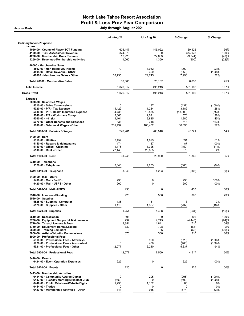# North Lake Tahoe Resort Association Profit & Loss Prev Year Comparison Accrual Basis July through August 2021

|  |  |  | July through August 2021 |  |  |
|--|--|--|--------------------------|--|--|
|--|--|--|--------------------------|--|--|

|                                                                               | Jul - Aug 21<br>Jul - Aug 20 |                 | \$ Change        | % Change        |  |
|-------------------------------------------------------------------------------|------------------------------|-----------------|------------------|-----------------|--|
| Ordinary Income/Expense<br>Income                                             |                              |                 |                  |                 |  |
| 4050-00 County of Placer TOT Funding                                          | 605,447                      | 445,022         | 160,425          | 36%             |  |
| 4100-00 · TBID Assessment Revenue                                             | 374,078                      | 0               | 374,078          | 100%            |  |
| 4200-00 · Membership Dues Revenue<br>4250-00 · Revenues-Membership Activities | 12,923<br>1,060              | 22,663<br>1,360 | (9,741)<br>(300) | (43)%<br>(22)%  |  |
| 46000 · Merchandise Sales                                                     |                              |                 |                  |                 |  |
| 4502-00 · Non-Retail VIC income<br>4504-00 · Retail Revenue - Other           | 70<br>$\Omega$               | 1,062<br>360    | (992)<br>(360)   | (93)%<br>(100)% |  |
| 46000 · Merchandise Sales - Other                                             | 32,735                       | 24,745          | 7,990            | 32%             |  |
| Total 46000 · Merchandise Sales                                               | 32,805                       | 26,167          | 6,638            | 25%             |  |
| <b>Total Income</b>                                                           | 1,026,312                    | 495,213         | 531,100          | 107%            |  |
| <b>Gross Profit</b>                                                           | 1,026,312                    | 495,213         | 531,100          | 107%            |  |
| <b>Expense</b>                                                                |                              |                 |                  |                 |  |
| 5000-00 · Salaries & Wages<br>5010-00 · Sales Commissions                     | 0                            | 137             | (137)            | (100)%          |  |
| 5020-00 · P/R - Tax Expense                                                   | 14,422                       | 11,234          | 3,189            | 28%             |  |
| 5030-00 · P/R - Health Insurance Expense                                      | 4,735                        | 18,535          | (13,800)         | (75)%           |  |
| 5040-00 · P/R - Workmans Comp                                                 | 2,666                        | 2,091           | 576              | 28%             |  |
| 5060-00 $\cdot$ 401 (k)                                                       | 4,104                        | 2,825           | 1,280            | 45%             |  |
| 5070-00 Other Benefits and Expenses<br>5000-00 · Salaries & Wages - Other     | 836<br>201,497               | 318<br>165,402  | 518<br>36,095    | 163%<br>22%     |  |
| Total 5000-00 · Salaries & Wages                                              | 228,261                      | 200,540         | 27,721           | 14%             |  |
| $5100-00 \cdot$ Rent                                                          |                              |                 |                  |                 |  |
| $5110-00 \cdot$ Utilities<br>5140-00 · Repairs & Maintenance                  | 2,454<br>174                 | 1,623<br>87     | 831<br>87        | 51%<br>100%     |  |
| 5150-00 Office - Cleaning                                                     | 1,175                        | 1,325           | (150)            | (11)%           |  |
| $5100-00 \cdot$ Rent - Other                                                  | 27,443                       | 26,865          | 578              | 2%              |  |
| Total 5100-00 · Rent                                                          | 31,245                       | 29,900          | 1,345            | 5%              |  |
| 5310-00 · Telephone<br>5320-00 · Telephone                                    | 3,848                        | 4,233           | (385)            | (9)%            |  |
| Total 5310-00 · Telephone                                                     | 3,848                        | 4,233           | (385)            | (9)%            |  |
| 5420-00 Mail - USPS                                                           |                              |                 |                  |                 |  |
| 5480-00 · Mail - Fed Ex                                                       | 233                          | 0               | 233              | 100%            |  |
| 5420-00 · Mail - USPS - Other                                                 | 200                          | 0               | 200              | 100%            |  |
| Total 5420-00 · Mail - USPS                                                   | 433                          | 0               | 433              | 100%            |  |
| 5510-00 · Insurance/Bonding<br>$5520-00 \cdot$ Supplies                       | 928                          | 538             | 390              | 73%             |  |
| 5525-00 · Supplies- Computer                                                  | 135                          | 131             | 3                | 3%              |  |
| 5520-00 · Supplies - Other                                                    | 1,119                        | 1,357           | (237)            | (18)%           |  |
| Total 5520-00 · Supplies                                                      | 1,254                        | 1,488           | (234)            | (16)%           |  |
| 5610-00 Depreciation<br>5700-00 · Equipment Support & Maintenance             | 306<br>297                   | 0<br>4,745      | 306<br>(4, 448)  | 100%<br>(94)%   |  |
| 5710-00 · Taxes, Licenses & Fees                                              | 3,351                        | 1,641           | 1,710            | 104%            |  |
| 5740-00 · Equipment Rental/Leasing                                            | 730                          | 798             | (68)             | (9)%            |  |
| 5800-00 · Training Seminars                                                   | 0                            | 66              | (66)             | (100)%          |  |
| 5850-00 Artist of Month - Commissions                                         | 670                          | 360             | 310              | 86%             |  |
| 5900-00 · Professional Fees<br>5910-00 · Professional Fees - Attorneys        | 0                            | 920             | (920)            | (100)%          |  |
| 5920-00 · Professional Fees - Accountant                                      | 0                            | 400             | (400)            | (100)%          |  |
| 5921-00 · Professional Fees - Other                                           | 12,077                       | 6,240           | 5,837            | 94%             |  |
| Total 5900-00 · Professional Fees                                             | 12,077                       | 7,560           | 4,517            | 60%             |  |
| $6420-00 \cdot$ Events                                                        | 225                          | $\pmb{0}$       | 225              | 100%            |  |
| 6424-00 · Event Operation Expenses                                            |                              |                 |                  |                 |  |
| Total 6420-00 · Events                                                        | 225                          | 0               | 225              | 100%            |  |
| 6423-00 · Membership Activities<br>6434-00 Community Awards Dinner            | $\mathbf 0$                  | 295             | (295)            | (100)%          |  |
| 6437-00 · Tuesday Morning Breakfast Club                                      | (500)                        | 0               | (500)            | (100)%          |  |
| 6442-00 · Public Relations/Website/Digita                                     | 1,238                        | 1,152           | 86               | 8%              |  |
| $6444-00 \cdot Trades$<br>6423-00 · Membership Activities - Other             | 0<br>341                     | 0               | 0                | 0%              |  |
|                                                                               |                              | 915             | (574)            | (63)%           |  |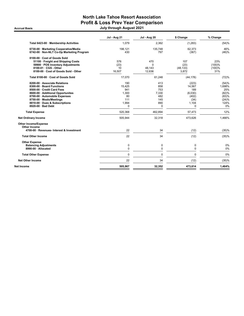# North Lake Tahoe Resort Association Profit & Loss Prev Year Comparison Accrual Basis July through August 2021

|                                                                                                                                                                                                                                                | <b>Jul - Aug 21</b>                                             | <b>Jul - Aug 20</b>                                  | \$ Change                                                               | % Change                                                        |
|------------------------------------------------------------------------------------------------------------------------------------------------------------------------------------------------------------------------------------------------|-----------------------------------------------------------------|------------------------------------------------------|-------------------------------------------------------------------------|-----------------------------------------------------------------|
| Total 6423-00 · Membership Activities                                                                                                                                                                                                          | 1.079                                                           | 2.362                                                | (1,283)                                                                 | (54)%                                                           |
| 6730-00 · Marketing Cooperative/Media<br>6742-00 · Non-NLT Co-Op Marketing Program                                                                                                                                                             | 198,121<br>430                                                  | 135,748<br>797                                       | 62,373<br>(367)                                                         | 46%<br>(46)%                                                    |
| 8100-00 · Cost of Goods Sold<br>51100 · Freight and Shipping Costs<br>59900 · POS Inventory Adjustments<br>8100-01 · CGS - Other<br>8100-00 · Cost of Goods Sold - Other                                                                       | 576<br>(23)<br>10<br>16,507                                     | 470<br>$\Omega$<br>48,143<br>12,636                  | 107<br>(23)<br>(48, 133)<br>3,872                                       | 23%<br>(100)%<br>(100)%<br>31%                                  |
| Total 8100-00 · Cost of Goods Sold                                                                                                                                                                                                             | 17,070                                                          | 61,248                                               | (44, 178)                                                               | (72)%                                                           |
| 8200-00 Associate Relations<br>8300-00 · Board Functions<br>8500-00 · Credit Card Fees<br>8600-00 · Additional Opportunites<br>8700-00 · Automobile Expenses<br>8750-00 · Meals/Meetings<br>8810-00 Dues & Subscriptions<br>8920-00 · Bad Debt | 190<br>15,425<br>941<br>1.300<br>80<br>111<br>1,994<br>$\Omega$ | 413<br>858<br>753<br>7,330<br>482<br>145<br>890<br>0 | (223)<br>14.567<br>189<br>(6,030)<br>(402)<br>(34)<br>1,104<br>$\Omega$ | (54)%<br>1,698%<br>25%<br>(82)%<br>(83)%<br>(24)%<br>124%<br>0% |
| <b>Total Expense</b>                                                                                                                                                                                                                           | 520,368                                                         | 462,894                                              | 57,473                                                                  | 12%                                                             |
| <b>Net Ordinary Income</b>                                                                                                                                                                                                                     | 505,944                                                         | 32,318                                               | 473,626                                                                 | 1,466%                                                          |
| <b>Other Income/Expense</b><br>Other Income<br>4700-00 · Revenues- Interest & Investment<br><b>Total Other Income</b>                                                                                                                          | 22<br>22                                                        | 34<br>34                                             | (12)<br>(12)                                                            | (35)%<br>(35)%                                                  |
| <b>Other Expense</b><br><b>Balancing Adjustments</b><br>8990-00 · Allocated                                                                                                                                                                    | $\mathbf 0$<br>$\mathbf 0$                                      | 0<br>$\Omega$                                        | 0<br>$\Omega$                                                           | 0%<br>0%                                                        |
| <b>Total Other Expense</b>                                                                                                                                                                                                                     | $\Omega$                                                        | $\Omega$                                             | $\Omega$                                                                | 0%                                                              |
| <b>Net Other Income</b>                                                                                                                                                                                                                        | 22                                                              | 34                                                   | (12)                                                                    | (35)%                                                           |
| Net Income                                                                                                                                                                                                                                     | 505,967                                                         | 32,352                                               | 473,614                                                                 | 1,464%                                                          |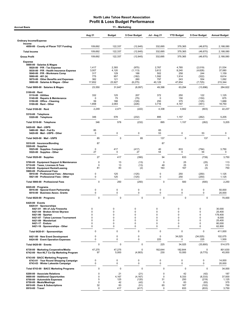| <b>Accrual Basis</b>                                                                                                                                                                                                                                                  |                                                             | 11 - Marketing                                      |                                                                                                    |                                                                                             |                                                                                   |                                                     |                                                                    |
|-----------------------------------------------------------------------------------------------------------------------------------------------------------------------------------------------------------------------------------------------------------------------|-------------------------------------------------------------|-----------------------------------------------------|----------------------------------------------------------------------------------------------------|---------------------------------------------------------------------------------------------|-----------------------------------------------------------------------------------|-----------------------------------------------------|--------------------------------------------------------------------|
|                                                                                                                                                                                                                                                                       | Aug 21                                                      | <b>Budget</b>                                       | \$ Over Budget                                                                                     | Jul - Aug 21                                                                                | <b>YTD Budget</b>                                                                 | \$ Over Budget                                      | <b>Annual Budget</b>                                               |
| <b>Ordinary Income/Expense</b>                                                                                                                                                                                                                                        |                                                             |                                                     |                                                                                                    |                                                                                             |                                                                                   |                                                     |                                                                    |
| Income<br>4050-00 County of Placer TOT Funding                                                                                                                                                                                                                        | 109,692                                                     | 122,337                                             | (12, 645)                                                                                          | 332,695                                                                                     | 379,365                                                                           | (46, 670)                                           | 2,188,080                                                          |
| <b>Total Income</b>                                                                                                                                                                                                                                                   | 109,692                                                     | 122,337                                             | (12, 645)                                                                                          | 332,695                                                                                     | 379,365                                                                           | (46, 670)                                           | 2,188,080                                                          |
| <b>Gross Profit</b>                                                                                                                                                                                                                                                   | 109,692                                                     | 122,337                                             | (12, 645)                                                                                          | 332,695                                                                                     | 379,365                                                                           | (46, 670)                                           | 2,188,080                                                          |
| <b>Expense</b><br>5000-00 · Salaries & Wages<br>5020-00 · P/R - Tax Expense<br>5030-00 · P/R - Health Insurance Expense<br>5040-00 · P/R - Workmans Comp                                                                                                              | 1,417<br>3,007<br>317                                       | 2,393<br>4,120<br>129                               | (975)<br>(1, 113)<br>188                                                                           | 2,767<br>3,612<br>502                                                                       | 4,785<br>8,240<br>258                                                             | (2,019)<br>(4,628)<br>244                           | 21,534<br>37,080<br>1,159                                          |
| 5060-00 $\cdot$ 401 (k)<br>5070-00 Other Benefits and Expenses<br>5000-00 · Salaries & Wages - Other                                                                                                                                                                  | 775<br>382<br>17,652                                        | 957<br>121<br>23,927                                | (182)<br>260<br>(6, 275)                                                                           | 1,592<br>797<br>40,129                                                                      | 1,914<br>243<br>47,854                                                            | (322)<br>554<br>(7, 725)                            | 8,614<br>1,092<br>215,344                                          |
| Total 5000-00 · Salaries & Wages                                                                                                                                                                                                                                      | 23,550                                                      | 31,647                                              | (8,097)                                                                                            | 49,398                                                                                      | 63,294                                                                            | (13, 896)                                           | 284,822                                                            |
| $5100-00 \cdot$ Rent<br>5110-00 · Utilities<br>5140-00 · Repairs & Maintenance<br>5150-00 · Office - Cleaning<br>$5100-00 \cdot$ Rent - Other                                                                                                                         | 332<br>0<br>59<br>1,858                                     | 125<br>75<br>188<br>2,083                           | 207<br>(75)<br>(128)<br>(226)                                                                      | 372<br>$\Omega$<br>250<br>3,716                                                             | 250<br>150<br>375<br>4,167                                                        | 122<br>(150)<br>(125)<br>(451)                      | 1,125<br>675<br>1,688<br>18,750                                    |
| Total 5100-00 · Rent                                                                                                                                                                                                                                                  | 2,249                                                       | 2,471                                               | (222)                                                                                              | 4,338                                                                                       | 4,942                                                                             | (603)                                               | 22,237                                                             |
| 5310-00 · Telephone<br>5320-00 · Telephone                                                                                                                                                                                                                            | 346                                                         | 578                                                 | (232)                                                                                              | 895                                                                                         | 1,157                                                                             | (262)                                               | 5,205                                                              |
| Total 5310-00 · Telephone                                                                                                                                                                                                                                             | 346                                                         | 578                                                 | (232)                                                                                              | 895                                                                                         | 1,157                                                                             | (262)                                               | 5,205                                                              |
| 5420-00 · Mail - USPS<br>5480-00 · Mail - Fed Ex<br>5420-00 · Mail - USPS - Other                                                                                                                                                                                     | 85<br>0                                                     | 0                                                   | $\pmb{0}$                                                                                          | 85<br>53                                                                                    | 0                                                                                 | 53                                                  | 0                                                                  |
| Total 5420-00 Mail - USPS                                                                                                                                                                                                                                             | 85                                                          | $\mathbf 0$                                         | 85                                                                                                 | 137                                                                                         | $\mathbf 0$                                                                       | 137                                                 |                                                                    |
| 5510-00 · Insurance/Bonding<br>$5520-00 \cdot$ Supplies                                                                                                                                                                                                               | 87                                                          |                                                     |                                                                                                    | 87                                                                                          |                                                                                   |                                                     |                                                                    |
| 5525-00 · Supplies- Computer<br>5520-00 · Supplies - Other                                                                                                                                                                                                            | 0<br>27                                                     | 417<br>0                                            | (417)<br>27                                                                                        | 40<br>54                                                                                    | 833<br>$\mathbf 0$                                                                | (794)<br>54                                         | 3,750<br>0                                                         |
| Total 5520-00 · Supplies                                                                                                                                                                                                                                              | 27                                                          | 417                                                 | (390)                                                                                              | 94                                                                                          | 833                                                                               | (739)                                               | 3,750                                                              |
| 5700-00 · Equipment Support & Maintenance<br>5710-00 · Taxes, Licenses & Fees<br>5740-00 · Equipment Rental/Leasing<br>5900-00 · Professional Fees                                                                                                                    | 0<br>$\mathbf 0$<br>81                                      | 13<br>13<br>83                                      | (13)<br>(13)<br>(2)                                                                                | $\mathbf 0$<br>48<br>163                                                                    | 25<br>25<br>167                                                                   | (25)<br>23<br>(4)                                   | 113<br>113<br>750                                                  |
| 5910-00 · Professional Fees - Attorneys<br>5921-00 · Professional Fees - Other                                                                                                                                                                                        | 0<br>0                                                      | 125<br>125                                          | (125)<br>(125)                                                                                     | 0<br>0                                                                                      | 250<br>250                                                                        | (250)<br>(250)                                      | 1,125<br>1,125                                                     |
| Total 5900-00 · Professional Fees                                                                                                                                                                                                                                     | $\mathbf 0$                                                 | 250                                                 | (250)                                                                                              | $\mathbf 0$                                                                                 | 500                                                                               | (500)                                               | 2,250                                                              |
| $6020-00 \cdot$ Programs<br>6016-00 · Special Event Partnership<br>6018-00 · Business Assoc. Grants                                                                                                                                                                   | 0<br>0                                                      | 0<br>0                                              | 0<br>0                                                                                             | $\mathbf 0$<br>0                                                                            | 0<br>0                                                                            | $\mathbf 0$<br>$\pmb{0}$                            | 50,000<br>20,000                                                   |
| Total 6020-00 · Programs                                                                                                                                                                                                                                              | $\mathbf 0$                                                 | $\pmb{0}$                                           | 0                                                                                                  | 0                                                                                           | 0                                                                                 | $\mathbf 0$                                         | 70,000                                                             |
| $6420-00 \cdot$ Events<br>6420-01 · Sponsorships<br>6421-01 · 4th of July Fireworks<br>6421-04 · Broken Arrow Skyrace<br>$6421-06 \cdot$ Spartan<br>6421-07 · Tahoe Lacrosse Tournament<br>6421-09 · Wanderlust<br>6421-17 · Enduro<br>6421-18 · Sponsorships - Other | $\Omega$<br>$\Omega$<br>0<br>$\Omega$<br>0<br>$\Omega$<br>0 | 0<br>$\mathbf 0$<br>$\mathbf 0$<br>0<br>0<br>0<br>0 | $\mathbf 0$<br>$\mathbf 0$<br>$\mathbf 0$<br>$\mathbf 0$<br>$\mathbf 0$<br>$\Omega$<br>$\mathbf 0$ | $\mathbf 0$<br>$\mathbf 0$<br>$\mathbf 0$<br>$\mathbf 0$<br>$\mathbf 0$<br>$\mathbf 0$<br>0 | $\mathbf 0$<br>$\mathbf 0$<br>$\mathbf 0$<br>$\mathbf 0$<br>0<br>$\mathbf 0$<br>0 | 0<br>0<br>0<br>0<br>0<br>0<br>0                     | 30,000<br>25,400<br>179.400<br>8,000<br>25,400<br>80,000<br>62,800 |
| Total 6420-01 · Sponsorships                                                                                                                                                                                                                                          | $\mathbf 0$                                                 | $\mathbf 0$                                         | $\pmb{0}$                                                                                          | $\pmb{0}$                                                                                   | $\pmb{0}$                                                                         | $\mathbf 0$                                         | 411,000                                                            |
| 6421-00 · New Event Development<br>6424-00 · Event Operation Expenses                                                                                                                                                                                                 | 0<br>$\mathbf 0$                                            | 0<br>0                                              | 0<br>$\pmb{0}$                                                                                     | $\mathbf 0$<br>225                                                                          | 34,025<br>$\mathbf 0$                                                             | (34, 025)<br>225                                    | 102,075<br>1,500                                                   |
| Total 6420-00 · Events                                                                                                                                                                                                                                                | 0                                                           | $\mathbf 0$                                         | 0                                                                                                  | 225                                                                                         | 34,025                                                                            | (33, 800)                                           | 514,575                                                            |
| 6730-00 · Marketing Cooperative/Media<br>6742-00 · Non-NLT Co-Op Marketing Program                                                                                                                                                                                    | 47,275<br>97                                                | 47,275<br>5,000                                     | 0<br>(4,903)                                                                                       | 182,644<br>230                                                                              | 182,644<br>10,000                                                                 | $\mathbf 0$<br>(9,770)                              | 801,630<br>45,000                                                  |
| 6743-00 · BACC Marketing Programs<br>6743-01 · Year Round Shopping Campaign<br>6743-03 · Winter Lakeside Campaign                                                                                                                                                     | 0<br>0                                                      | 0<br>0                                              | 0<br>$\pmb{0}$                                                                                     | 0<br>0                                                                                      | 0<br>0                                                                            | $\mathbf 0$<br>$\pmb{0}$                            | 14,000<br>20,000                                                   |
| Total 6743-00 · BACC Marketing Programs                                                                                                                                                                                                                               | 0                                                           | $\mathbf 0$                                         | 0                                                                                                  | $\mathbf 0$                                                                                 | 0                                                                                 | $\mathbf 0$                                         | 34,000                                                             |
| 8200-00 · Associate Relations<br>8600-00 · Additional Opportunites<br>8700-00 · Automobile Expenses<br>8750-00 · Meals/Meetings<br>8810-00 · Dues & Subscriptions<br>8910-00 · Travel                                                                                 | 0<br>0<br>5<br>$\pmb{0}$<br>32<br>$\mathbf 0$               | 21<br>4,167<br>125<br>42<br>83<br>417               | (21)<br>(4, 167)<br>(120)<br>(42)<br>(51)<br>(417)                                                 | $\mathbf 0$<br>$\mathbf 0$<br>31<br>$\mathbf 0$<br>65<br>$\mathbf 0$                        | 42<br>8,333<br>250<br>83<br>167<br>833                                            | (42)<br>(8, 333)<br>(219)<br>(83)<br>(102)<br>(833) | 187<br>37,500<br>1,125<br>375<br>750<br>3,750                      |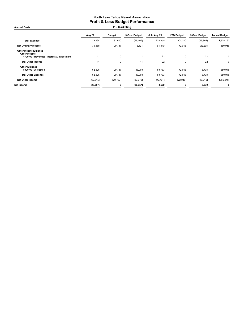| <b>Accrual Basis</b>                                                              | 11 - Marketing   |                  |                  |                  |                   |                  |                      |
|-----------------------------------------------------------------------------------|------------------|------------------|------------------|------------------|-------------------|------------------|----------------------|
|                                                                                   | Aug 21           | <b>Budget</b>    | \$ Over Budget   | Jul - Aug 21     | <b>YTD Budget</b> | \$ Over Budget   | <b>Annual Budget</b> |
| <b>Total Expense</b>                                                              | 73,834           | 92,600           | (18, 766)        | 238,355          | 307,320           | (68, 964)        | 1,828,132            |
| Net Ordinary Income                                                               | 35,858           | 29,737           | 6,121            | 94,340           | 72,046            | 22,295           | 359,948              |
| Other Income/Expense<br>Other Income<br>4700-00 · Revenues- Interest & Investment | 11               | 0                | 11               | 22               | $\mathbf 0$       | 22               | $\Omega$             |
| <b>Total Other Income</b>                                                         | 11               | 0                | 11               | 22               | 0                 | 22               | $\Omega$             |
| <b>Other Expense</b><br>8990-00 · Allocated<br><b>Total Other Expense</b>         | 62,826<br>62,826 | 29,737<br>29,737 | 33,089<br>33,089 | 90,783<br>90,783 | 72,046<br>72,046  | 18,738<br>18,738 | 359,948<br>359,948   |
| <b>Net Other Income</b>                                                           | (62, 815)        | (29, 737)        | (33,078)         | (90, 761)        | (72,046)          | (18, 715)        | (359, 948)           |
| Net Income                                                                        | (26, 957)        |                  | (26, 957)        | 3,579            | 0                 | 3,579            | 0                    |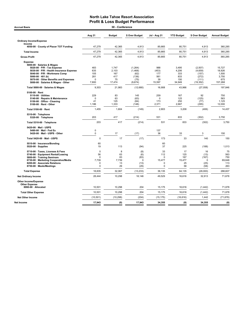| <b>Accrual Basis</b>                                                                                                                                                                                                                             |                                                  | 30 - Conference                              |                                                          |                                            |                                               |                                                            |                                                      |
|--------------------------------------------------------------------------------------------------------------------------------------------------------------------------------------------------------------------------------------------------|--------------------------------------------------|----------------------------------------------|----------------------------------------------------------|--------------------------------------------|-----------------------------------------------|------------------------------------------------------------|------------------------------------------------------|
|                                                                                                                                                                                                                                                  | Aug 21                                           | <b>Budget</b>                                | \$ Over Budget                                           | Jul - Aug 21                               | <b>YTD Budget</b>                             | \$ Over Budget                                             | <b>Annual Budget</b>                                 |
| <b>Ordinary Income/Expense</b>                                                                                                                                                                                                                   |                                                  |                                              |                                                          |                                            |                                               |                                                            |                                                      |
| Income<br>4050-00 County of Placer TOT Funding                                                                                                                                                                                                   | 47,279                                           | 42,365                                       | 4,913                                                    | 85,665                                     | 80,751                                        | 4,913                                                      | 360,285                                              |
| <b>Total Income</b>                                                                                                                                                                                                                              | 47,279                                           | 42,365                                       | 4,913                                                    | 85,665                                     | 80,751                                        | 4,913                                                      | 360,285                                              |
| <b>Gross Profit</b>                                                                                                                                                                                                                              | 47,279                                           | 42,365                                       | 4,913                                                    | 85,665                                     | 80,751                                        | 4,913                                                      | 360,285                                              |
| <b>Expense</b>                                                                                                                                                                                                                                   |                                                  |                                              |                                                          |                                            |                                               |                                                            |                                                      |
| 5000-00 · Salaries & Wages<br>5020-00 · P/R - Tax Expense<br>5030-00 · P/R - Health Insurance Expense<br>5040-00 · P/R - Workmans Comp<br>5060-00 $\cdot$ 401 (k)<br>5070-00 · Other Benefits and Expenses<br>5000-00 · Salaries & Wages - Other | 483<br>635<br>105<br>281<br>0<br>7,800           | 1.747<br>2,103<br>167<br>417<br>75<br>17,474 | (1, 264)<br>(1, 468)<br>(62)<br>(136)<br>(75)<br>(9,674) | 988<br>(453)<br>177<br>561<br>39<br>15,597 | 3.495<br>4,206<br>333<br>833<br>150<br>34,949 | (2,507)<br>(4,659)<br>(157)<br>(272)<br>(111)<br>(19, 352) | 15.727<br>18,926<br>1,500<br>3,750<br>675<br>157,268 |
| Total 5000-00 · Salaries & Wages                                                                                                                                                                                                                 | 9,303                                            | 21,983                                       | (12,680)                                                 | 16,908                                     | 43,966                                        | (27,058)                                                   | 197,846                                              |
| $5100-00 \cdot$ Rent<br>5110-00 · Utilities<br>5140-00 · Repairs & Maintenance<br>5150-00 · Office - Cleaning<br>$5100-00 \cdot$ Rent - Other                                                                                                    | 229<br>$\mathbf 0$<br>41<br>1,186                | 83<br>63<br>125<br>1,333                     | 145<br>(63)<br>(84)<br>(148)                             | 259<br>$\Omega$<br>173<br>2,371            | 167<br>125<br>250<br>2,667                    | 92<br>(125)<br>(77)<br>(295)                               | 750<br>563<br>1,125<br>12,000                        |
| Total 5100-00 · Rent                                                                                                                                                                                                                             | 1,455                                            | 1.604                                        | (149)                                                    | 2,803                                      | 3,208                                         | (406)                                                      | 14.437                                               |
| 5310-00 · Telephone<br>5320-00 · Telephone                                                                                                                                                                                                       | 203                                              | 417                                          | (214)                                                    | 531                                        | 833                                           | (302)                                                      | 3,750                                                |
| Total 5310-00 · Telephone                                                                                                                                                                                                                        | 203                                              | 417                                          | (214)                                                    | 531                                        | 833                                           | (302)                                                      | 3,750                                                |
| 5420-00 · Mail - USPS<br>5480-00 Mail - Fed Ex<br>5420-00 · Mail - USPS - Other                                                                                                                                                                  | $\mathbf 0$<br>0                                 | 17                                           | (17)                                                     | 137<br>36                                  | 33                                            | 3                                                          | 150                                                  |
| Total 5420-00 · Mail - USPS                                                                                                                                                                                                                      | $\mathbf 0$                                      | 17                                           | (17)                                                     | 173                                        | 33                                            | 140                                                        | 150                                                  |
| 5510-00 · Insurance/Bonding<br>$5520-00 \cdot$ Supplies                                                                                                                                                                                          | 60<br>19                                         | 113                                          | (94)                                                     | 60<br>37                                   | 225                                           | (188)                                                      | 1,013                                                |
| 5710-00 · Taxes, Licenses & Fees<br>5740-00 · Equipment Rental/Leasing<br>5800-00 · Training Seminars<br>6730-00 · Marketing Cooperative/Media<br>8200-00 · Associate Relations<br>8750-00 · Meals/Meetings                                      | $\mathbf 0$<br>56<br>$\Omega$<br>7,739<br>0<br>0 | 8<br>63<br>83<br>7,739<br>13<br>29           | (8)<br>(6)<br>(83)<br>$\mathbf 0$<br>(13)<br>(29)        | 33<br>112<br>$\Omega$<br>15,477<br>0<br>0  | 17<br>125<br>167<br>15,477<br>25<br>58        | 16<br>(13)<br>(167)<br>$\mathbf 0$<br>(25)<br>(58)         | 75<br>563<br>750<br>69,648<br>113<br>263             |
| <b>Total Expense</b>                                                                                                                                                                                                                             | 18,835                                           | 32,067                                       | (13, 233)                                                | 36,135                                     | 64,135                                        | (28,000)                                                   | 288,607                                              |
| <b>Net Ordinary Income</b>                                                                                                                                                                                                                       | 28,444                                           | 10,298                                       | 18,146                                                   | 49,529                                     | 16,616                                        | 32,913                                                     | 71,678                                               |
| Other Income/Expense<br><b>Other Expense</b><br>8990-00 · Allocated                                                                                                                                                                              | 10,501                                           | 10,298                                       | 204                                                      | 15,175                                     | 16,616                                        | (1, 442)                                                   | 71,678                                               |
| <b>Total Other Expense</b>                                                                                                                                                                                                                       | 10,501                                           | 10,298                                       | 204                                                      | 15,175                                     | 16,616                                        | (1, 442)                                                   | 71,678                                               |
| <b>Net Other Income</b>                                                                                                                                                                                                                          | (10, 501)                                        | (10, 298)                                    | (204)                                                    | (15, 175)                                  | (16, 616)                                     | 1,442                                                      | (71, 678)                                            |
| Net Income                                                                                                                                                                                                                                       | 17,943                                           | (0)                                          | 17,943                                                   | 34,355                                     | (0)                                           | 34,355                                                     | (0)                                                  |
|                                                                                                                                                                                                                                                  |                                                  |                                              |                                                          |                                            |                                               |                                                            |                                                      |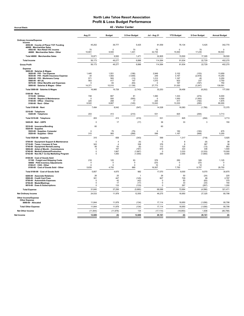Accrual Basis 42 - Visitor Center

|                                                                                                                                                                                                                                                      | Aug 21                                               | <b>Budget</b>                                             | \$ Over Budget                                      | <b>Jul - Aug 21</b>                           | <b>YTD Budget</b>                               | \$ Over Budget                                     | <b>Annual Budget</b>                                 |
|------------------------------------------------------------------------------------------------------------------------------------------------------------------------------------------------------------------------------------------------------|------------------------------------------------------|-----------------------------------------------------------|-----------------------------------------------------|-----------------------------------------------|-------------------------------------------------|----------------------------------------------------|------------------------------------------------------|
| <b>Ordinary Income/Expense</b>                                                                                                                                                                                                                       |                                                      |                                                           |                                                     |                                               |                                                 |                                                    |                                                      |
| Income<br>4050-00 County of Placer TOT Funding                                                                                                                                                                                                       | 45,202                                               | 39,777                                                    | 5,425                                               | 81,559                                        | 76,134                                          | 5,425                                              | 342,770                                              |
| 46000 · Merchandise Sales<br>4502-00 · Non-Retail VIC income                                                                                                                                                                                         | 70                                                   | $\Omega$                                                  | 70                                                  | 70                                            | $\mathbf 0$                                     | 70                                                 | $\mathbf 0$                                          |
| 46000 · Merchandise Sales - Other<br>Total 46000 · Merchandise Sales                                                                                                                                                                                 | 10,901<br>10,971                                     | 9,500<br>9,500                                            | 1,401<br>1,471                                      | 32,735<br>32,805                              | 15,500<br>15,500                                | 17,235<br>17,305                                   | 59,500<br>59,500                                     |
| <b>Total Income</b>                                                                                                                                                                                                                                  | 56,173                                               | 49,277                                                    | 6,896                                               | 114,364                                       | 91,634                                          | 22,729                                             | 402,270                                              |
| <b>Gross Profit</b>                                                                                                                                                                                                                                  | 56.173                                               | 49,277                                                    | 6.896                                               | 114,364                                       | 91,634                                          | 22.729                                             | 402,270                                              |
| <b>Expense</b>                                                                                                                                                                                                                                       |                                                      |                                                           |                                                     |                                               |                                                 |                                                    |                                                      |
| 5000-00 · Salaries & Wages<br>5020-00 · P/R - Tax Expense<br>5030-00 · P/R - Health Insurance Expense<br>5040-00 · P/R - Workmans Comp<br>5060-00 $\cdot$ 401 (k)<br>5070-00 Other Benefits and Expenses<br>5000-00 · Salaries & Wages - Other       | 1,445<br>34<br>571<br>563<br>$\Omega$<br>14,371      | 1,551<br>1,583<br>583<br>417<br>83<br>15,510              | (106)<br>(1,549)<br>(13)<br>147<br>(83)<br>(1, 139) | 2,949<br>249<br>1,212<br>1,070<br>0<br>27,773 | 3,102<br>3,167<br>1,167<br>833<br>167<br>31,020 | (153)<br>(2,918)<br>45<br>237<br>(167)<br>(3, 247) | 13,959<br>14,250<br>5,250<br>3,750<br>750<br>139,591 |
| Total 5000-00 · Salaries & Wages                                                                                                                                                                                                                     | 16,985                                               | 19,728                                                    | (2,743)                                             | 33,253                                        | 39,456                                          | (6, 202)                                           | 177,550                                              |
| $5100-00 \cdot$ Rent<br>5110-00 · Utilities<br>5140-00 · Repairs & Maintenance<br>5150-00 · Office - Cleaning<br>5100-00 · Rent - Other                                                                                                              | 748<br>$\mathbf 0$<br>225<br>6,522                   | 667<br>500<br>208<br>6,667                                | 81<br>(500)<br>17<br>(145)                          | 1,060<br>$\mathbf 0$<br>225<br>13,043         | 1,333<br>1,000<br>417<br>13,333                 | (274)<br>(1,000)<br>(192)<br>(290)                 | 6,000<br>4,500<br>1,875<br>60,000                    |
| Total 5100-00 · Rent                                                                                                                                                                                                                                 | 7,494                                                | 8,042                                                     | (547)                                               | 14,328                                        | 16,083                                          | (1,756)                                            | 72,375                                               |
| 5310-00 · Telephone<br>5320-00 · Telephone                                                                                                                                                                                                           | 203                                                  | 413                                                       | (210)                                               | 531                                           | 825                                             | (294)                                              | 3,713                                                |
| Total 5310-00 · Telephone                                                                                                                                                                                                                            | 203                                                  | 413                                                       | (210)                                               | 531                                           | 825                                             | (294)                                              | 3,713                                                |
| 5420-00 · Mail - USPS                                                                                                                                                                                                                                | $\Omega$                                             | 17                                                        | (17)                                                | 36                                            | 33                                              | 3                                                  | 150                                                  |
| 5510-00 · Insurance/Bonding<br>$5520-00 \cdot$ Supplies<br>5525-00 · Supplies- Computer<br>5520-00 · Supplies - Other                                                                                                                                | 60<br>$\mathbf{0}$<br>315                            | 75<br>583                                                 | (75)<br>(268)                                       | 60<br>$\mathbf 0$<br>599                      | 150<br>1,167                                    | (150)<br>(568)                                     | 675<br>5,250                                         |
| Total 5520-00 · Supplies                                                                                                                                                                                                                             | 315                                                  | 658                                                       | (343)                                               | 599                                           | 1,317                                           | (718)                                              | 5,925                                                |
| 5700-00 · Equipment Support & Maintenance<br>5710-00 · Taxes, Licenses & Fees<br>5740-00 · Equipment Rental/Leasing<br>5850-00 · Artist of Month - Commissions<br>6740-00 · Media/Collateral/Production<br>6742-00 · Non-NLT Co-Op Marketing Program | $\Omega$<br>343<br>56<br>$^{\circ}$<br>0<br>$\Omega$ | $\Delta$<br>$\overline{4}$<br>63<br>167<br>1,667<br>1,000 | (4)<br>338<br>(6)<br>(167)<br>(1,667)<br>(1,000)    | $\mathbf 0$<br>376<br>112<br>670<br>0<br>200  | 8<br>8<br>125<br>333<br>3,333<br>2,000          | (8)<br>367<br>(13)<br>336<br>(3, 333)<br>(1,800)   | 38<br>38<br>563<br>1,500<br>15,000<br>9,000          |
| 8100-00 · Cost of Goods Sold<br>51100 · Freight and Shipping Costs<br>59900 · POS Inventory Adjustments<br>8100-01 · CGS - Other<br>8100-00 · Cost of Goods Sold - Other                                                                             | 218<br>0<br>$\Omega$<br>5,639                        | 125<br>0<br>$\Omega$<br>4,750                             | 93<br>$\mathsf 0$<br>$\Omega$<br>889                | 576<br>(23)<br>10<br>16,507                   | 250<br>$\mathbf 0$<br>$\mathbf 0$<br>7,750      | 326<br>(23)<br>10<br>8,757                         | 1,125<br>0<br>$\Omega$<br>29,750                     |
| Total 8100-00 · Cost of Goods Sold                                                                                                                                                                                                                   | 5,857                                                | 4,875                                                     | 982                                                 | 17,070                                        | 8,000                                           | 9,070                                              | 30,875                                               |
| 8200-00 · Associate Relations<br>8500-00 · Credit Card Fees<br>8700-00 Automobile Expenses<br>8750-00 · Meals/Meetings<br>8810-00 · Dues & Subscriptions                                                                                             | 26<br>301<br>$\Omega$<br>$\Omega$<br>0               | 25<br>447<br>42<br>17<br>133                              | -1<br>(145)<br>(42)<br>(17)<br>(133)                | 26<br>827<br>$\Omega$<br>$\Omega$<br>0        | 50<br>729<br>83<br>33<br>267                    | (24)<br>99<br>(83)<br>(33)<br>(267)                | 225<br>2,797<br>375<br>150<br>1,200                  |
| <b>Total Expense</b>                                                                                                                                                                                                                                 | 31,640                                               | 37,299                                                    | (5,660)                                             | 68,088                                        | 72,684                                          | (4,596)                                            | 321,471                                              |
| <b>Net Ordinary Income</b>                                                                                                                                                                                                                           | 24,533                                               | 11,978                                                    | 12,555                                              | 46,275                                        | 18,950                                          | 27,325                                             | 80,798                                               |
| <b>Other Income/Expense</b><br><b>Other Expense</b><br>8990-00 · Allocated                                                                                                                                                                           | 11,844                                               | 11,978                                                    | (134)                                               | 17,114                                        | 18,950                                          | (1, 836)                                           | 80,798                                               |
| <b>Total Other Expense</b>                                                                                                                                                                                                                           | 11,844                                               | 11,978                                                    | (134)                                               | 17,114                                        | 18,950                                          | (1,836)                                            | 80,798                                               |
| Net Other Income                                                                                                                                                                                                                                     | (11, 844)                                            | (11, 978)                                                 | 134                                                 | (17, 114)                                     | (18,950)                                        | 1,836                                              | (80, 798)                                            |
| Net Income                                                                                                                                                                                                                                           | 12,689                                               | (0)                                                       | 12,689                                              | 29,161                                        | (0)                                             | 29,161                                             | (0)                                                  |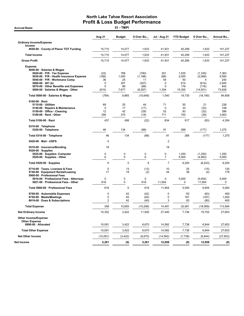**Accrual Basis** 

|                                                                                                                                                                                                                                                                        | Aug 21                                 | <b>Budget</b>                            | \$ Over Bu                                           | <b>Jul - Aug 21</b>                         | <b>YTD Budget</b>                            | \$ Over Bu                                             | <b>Annual Bu</b>                                |
|------------------------------------------------------------------------------------------------------------------------------------------------------------------------------------------------------------------------------------------------------------------------|----------------------------------------|------------------------------------------|------------------------------------------------------|---------------------------------------------|----------------------------------------------|--------------------------------------------------------|-------------------------------------------------|
| <b>Ordinary Income/Expense</b>                                                                                                                                                                                                                                         |                                        |                                          |                                                      |                                             |                                              |                                                        |                                                 |
| Income<br>4050-00 · County of Placer TOT Funding                                                                                                                                                                                                                       | 15,710                                 | 14,077                                   | 1,633                                                | 41,931                                      | 40,299                                       | 1,633                                                  | 141,237                                         |
| <b>Total Income</b>                                                                                                                                                                                                                                                    | 15,710                                 | 14,077                                   | 1,633                                                | 41,931                                      | 40,299                                       | 1,633                                                  | 141,237                                         |
| <b>Gross Profit</b>                                                                                                                                                                                                                                                    | 15,710                                 | 14,077                                   | 1,633                                                | 41,931                                      | 40,299                                       | 1,633                                                  | 141,237                                         |
| <b>Expense</b><br>5000-00 · Salaries & Wages<br>$5020-00 \cdot P/R$ - Tax Expense<br>5030-00 · P/R - Health Insurance Expense<br>5040-00 · P/R - Workmans Comp<br>5060-00 $\cdot$ 401 (k)<br>5070-00 Other Benefits and Expenses<br>5000-00 · Salaries & Wages - Other | (23)<br>(188)<br>36<br>0<br>0<br>(610) | 768<br>1,000<br>25<br>307<br>88<br>7,677 | (790)<br>(1, 188)<br>11<br>(307)<br>(88)<br>(8, 287) | 201<br>(68)<br>54<br>0<br>$\Omega$<br>1,354 | 1,535<br>2,000<br>50<br>614<br>176<br>15,355 | (1, 335)<br>(2,068)<br>Δ<br>(614)<br>(176)<br>(14,001) | 7,363<br>9,590<br>240<br>2,945<br>842<br>73,628 |
| Total 5000-00 · Salaries & Wages                                                                                                                                                                                                                                       | (784)                                  | 9,865                                    | (10, 649)                                            | 1,540                                       | 19,730                                       | (18, 190)                                              | 94,608                                          |
| $5100-00 \cdot$ Rent                                                                                                                                                                                                                                                   |                                        |                                          |                                                      |                                             |                                              |                                                        |                                                 |
| 5110-00 · Utilities<br>5140-00 · Repairs & Maintenance<br>5150-00 Office - Cleaning<br>5100-00 · Rent - Other                                                                                                                                                          | 69<br>$\mathbf 0$<br>12<br>356         | 25<br>17<br>42<br>375                    | 44<br>(17)<br>(29)<br>(19)                           | 71<br>$\Omega$<br>52<br>711                 | 50<br>33<br>83<br>750                        | 21<br>(33)<br>(32)<br>(39)                             | 238<br>158<br>396<br>3,563                      |
| Total 5100-00 · Rent                                                                                                                                                                                                                                                   | 437                                    | 458                                      | (22)                                                 | 834                                         | 917                                          | (83)                                                   | 4,354                                           |
| 5310-00 · Telephone<br>5320-00 · Telephone                                                                                                                                                                                                                             | 46                                     | 134                                      | (88)                                                 | 91                                          | 268                                          | (177)                                                  | 1,275                                           |
| Total 5310-00 · Telephone                                                                                                                                                                                                                                              | 46                                     | 134                                      | (88)                                                 | 91                                          | 268                                          | (177)                                                  | 1,275                                           |
| 5420-00 · Mail - USPS                                                                                                                                                                                                                                                  | $\mathbf 0$                            |                                          |                                                      | 2                                           |                                              |                                                        |                                                 |
| 5510-00 · Insurance/Bonding<br>$5520-00 \cdot$ Supplies                                                                                                                                                                                                                | 18                                     |                                          |                                                      | 18                                          |                                              |                                                        |                                                 |
| 5525-00 · Supplies- Computer<br>5520-00 · Supplies - Other                                                                                                                                                                                                             | 0<br>6                                 | 0<br>$\mathbf 0$                         | 0<br>6                                               | 0<br>7                                      | 1,250<br>5,000                               | (1,250)<br>(4,993)                                     | 1,250<br>5,000                                  |
| Total 5520-00 $\cdot$ Supplies                                                                                                                                                                                                                                         | 6                                      | $\mathbf 0$                              | 6                                                    | $\overline{7}$                              | 6,250                                        | (6, 243)                                               | 6,250                                           |
| 5710-00 · Taxes, Licenses & Fees<br>5740-00 · Equipment Rental/Leasing<br>5900-00 · Professional Fees                                                                                                                                                                  | 0<br>17                                | 13<br>19                                 | (13)<br>(2)                                          | 10<br>34                                    | 25<br>38                                     | (15)<br>(4)                                            | 120<br>178                                      |
| 5910-00 · Professional Fees - Attorneys<br>5921-00 Professional Fees - Other                                                                                                                                                                                           | 0<br>618                               | 0<br>$\mathbf 0$                         | 0<br>618                                             | $\Omega$<br>11,954                          | 5,000<br>0                                   | (5,000)<br>11,954                                      | 5,000<br>$\mathbf 0$                            |
| Total 5900-00 · Professional Fees                                                                                                                                                                                                                                      | 618                                    | 0                                        | 618                                                  | 11,954                                      | 5,000                                        | 6,954                                                  | 5,000                                           |
| 8700-00 · Automobile Expenses<br>8750-00 · Meals/Meetings<br>8810-00 · Dues & Subscriptions                                                                                                                                                                            | 0<br>$\mathbf 0$<br>$\overline{c}$     | 42<br>83<br>42                           | (42)<br>(83)<br>(40)                                 | 0<br>0<br>3                                 | 83<br>167<br>83                              | (83)<br>(167)<br>(80)                                  | 400<br>1,000<br>400                             |
| <b>Total Expense</b>                                                                                                                                                                                                                                                   | 358                                    | 10,655                                   | (10, 298)                                            | 14,491                                      | 32,561                                       | (18,069)                                               | 113,584                                         |
| <b>Net Ordinary Income</b>                                                                                                                                                                                                                                             | 15,352                                 | 3,422                                    | 11,930                                               | 27,440                                      | 7,738                                        | 19,702                                                 | 27,653                                          |
| <b>Other Income/Expense</b><br><b>Other Expense</b>                                                                                                                                                                                                                    |                                        |                                          |                                                      |                                             |                                              |                                                        |                                                 |
| 8990-00 · Allocated                                                                                                                                                                                                                                                    | 10,091                                 | 3,422                                    | 6,670                                                | 14,582                                      | 7,738                                        | 6,844                                                  | 27,653                                          |
| <b>Total Other Expense</b>                                                                                                                                                                                                                                             | 10,091                                 | 3,422                                    | 6,670                                                | 14,582                                      | 7,738                                        | 6,844                                                  | 27,653                                          |
| <b>Net Other Income</b>                                                                                                                                                                                                                                                | (10,091)                               | (3, 422)                                 | (6,670)                                              | (14, 582)                                   | (7,738)                                      | (6, 844)                                               | (27, 653)                                       |
| Net Income                                                                                                                                                                                                                                                             | 5,261                                  | (0)                                      | 5,261                                                | 12,858                                      | (0)                                          | 12,858                                                 | (0)                                             |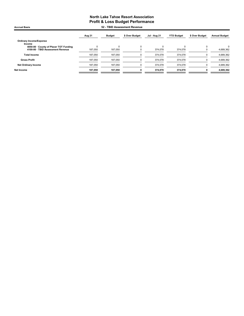Accrual Basis **Accrual Basis** 52 - TBID Assessment Revenue

|                                          | Aug 21  | <b>Budget</b> | \$ Over Budget | Jul - Aug 21 | <b>YTD Budget</b> | \$ Over Budget | <b>Annual Budget</b> |
|------------------------------------------|---------|---------------|----------------|--------------|-------------------|----------------|----------------------|
| <b>Ordinary Income/Expense</b><br>Income |         |               |                |              |                   |                |                      |
| 4050-00 County of Placer TOT Funding     |         | C             |                |              |                   |                |                      |
| 4100-00 · TBID Assessment Revenue        | 187.050 | 187.050       |                | 374.078      | 374.078           |                | 4,689,362            |
| <b>Total Income</b>                      | 187.050 | 187.050       |                | 374.078      | 374,078           |                | 4,689,362            |
| <b>Gross Profit</b>                      | 187,050 | 187,050       |                | 374,078      | 374,078           |                | 4,689,362            |
| <b>Net Ordinary Income</b>               | 187,050 | 187.050       |                | 374,078      | 374,078           |                | 4,689,362            |
| Net Income                               | 187,050 | 187,050       |                | 374.078      | 374,078           |                | 4,689,362            |
|                                          |         |               |                |              |                   |                |                      |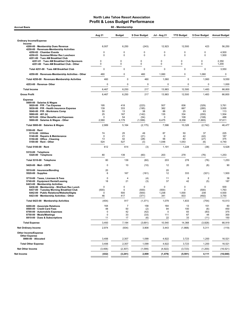| 60 - Membership<br><b>Accrual Basis</b>                                               |             |                |                            |                          |                   |                  |                      |  |
|---------------------------------------------------------------------------------------|-------------|----------------|----------------------------|--------------------------|-------------------|------------------|----------------------|--|
|                                                                                       | Aug 21      | <b>Budget</b>  | \$ Over Budget             | <b>Jul - Aug 21</b>      | <b>YTD Budget</b> | \$ Over Budget   | <b>Annual Budget</b> |  |
| <b>Ordinary Income/Expense</b>                                                        |             |                |                            |                          |                   |                  |                      |  |
| Income                                                                                | 6,007       |                |                            |                          |                   | 423              |                      |  |
| 4200-00 · Membership Dues Revenue<br>4250-00 · Revenues-Membership Activities         |             | 6,250          | (243)                      | 12,923                   | 12,500            |                  | 56,250               |  |
| 4250-02 · Chamber Events<br>4250-03 · Summer/Winter Rec Luncheon                      | 0<br>0      | 0<br>$\Omega$  | 0<br>0                     | 0<br>0                   | 0<br>$\mathbf 0$  | 0<br>$\mathbf 0$ | 4,500<br>1,500       |  |
| 4251-00 · Tues AM Breakfast Club                                                      |             |                |                            |                          |                   |                  |                      |  |
| 4251-01 · Tues AM Breakfast Club Sponsors<br>4251-00 · Tues AM Breakfast Club - Other | 0<br>0      | 0<br>0         | $\mathbf 0$<br>$\mathbf 0$ | $\mathbf 0$<br>$\pmb{0}$ | 0<br>$\mathbf 0$  | 0<br>$\pmb{0}$   | 2,350<br>1,200       |  |
| Total 4251-00 · Tues AM Breakfast Club                                                | 0           | $\Omega$       | 0                          | 0                        | 0                 | $\mathbf 0$      | 3,550                |  |
| 4250-00 · Revenues-Membership Activities - Other                                      | 460         | 0              | 460                        | 1,060                    | 0                 | 1,060            | $\mathbf 0$          |  |
| Total 4250-00 · Revenues-Membership Activities                                        | 460         | 0              | 460                        | 1,060                    | $\mathbf 0$       | 1,060            | 9,550                |  |
| 4253-00 · Revenue-Other                                                               | 0           | 0              | $\pmb{0}$                  | $\pmb{0}$                | 0                 | 0                | 1,000                |  |
| <b>Total Income</b>                                                                   | 6,467       | 6,250          | 217                        | 13,983                   | 12,500            | 1,483            | 66,800               |  |
| <b>Gross Profit</b>                                                                   | 6,467       | 6,250          | 217                        | 13,983                   | 12,500            | 1,483            | 66,800               |  |
| <b>Expense</b>                                                                        |             |                |                            |                          |                   |                  |                      |  |
| 5000-00 · Salaries & Wages<br>$5020-00 \cdot P/R$ - Tax Expense                       | 195         | 418            | (223)                      | 507                      | 836               | (329)            | 3,761                |  |
| 5030-00 · P/R - Health Insurance Expense                                              | 139         | 333            | (195)                      | 382                      | 667               | (285)            | 3,000                |  |
| 5040-00 · P/R - Workmans Comp<br>5060-00 $\cdot$ 401 (k)                              | 50<br>25    | 13<br>167      | 38<br>(142)                | 88<br>135                | 25<br>334         | 63<br>(200)      | 113<br>1,504         |  |
| 5070-00 · Other Benefits and Expenses                                                 | $\mathbf 0$ | 54             | (54)                       | 0                        | 108               | (108)            | 488                  |  |
| 5000-00 · Salaries & Wages - Other                                                    | 2,580       | 4,179          | (1, 599)                   | 6,475                    | 8,358             | (1,883)          | 37,611               |  |
| Total 5000-00 · Salaries & Wages                                                      | 2,989       | 5,164          | (2, 175)                   | 7,586                    | 10,328            | (2, 742)         | 46,477               |  |
| $5100-00 \cdot$ Rent<br>$5110-00 \cdot$ Utilities                                     | 74          | 25             | 49                         | 87                       | 50                | 37               | 225                  |  |
| 5140-00 · Repairs & Maintenance                                                       | 0           | 21             | (21)                       | 0                        | 42                | (42)             | 187                  |  |
| 5150-00 · Office - Cleaning                                                           | 13          | 42             | (28)                       | 56                       | 83                | (27)             | 375                  |  |
| 5100-00 · Rent - Other<br>Total 5100-00 · Rent                                        | 524<br>612  | 527<br>614     | (3)                        | 1,048<br>1,191           | 1,053<br>1,228    | (6)<br>(38)      | 4,740<br>5,528       |  |
| 5310-00 · Telephone                                                                   |             |                | (3)                        |                          |                   |                  |                      |  |
| 5320-00 · Telephone                                                                   | 80          | 139            | (60)                       | 203                      | 278               | (76)             | 1,253                |  |
| Total 5310-00 · Telephone                                                             | 80          | 139            | (60)                       | 203                      | 278               | (76)             | 1,253                |  |
| 5420-00 · Mail - USPS                                                                 | 0           | 10             | (10)                       | 12                       | 20                | (8)              | 90                   |  |
| 5510-00 · Insurance/Bonding<br>5520-00 · Supplies                                     | 20<br>6     | 167            | (161)                      | 20<br>12                 | 333               | (321)            | 1,500                |  |
| 5710-00 · Taxes, Licenses & Fees                                                      | $\mathbf 0$ | 4              | (4)                        | 11                       | 8                 | $\overline{2}$   | 38                   |  |
| 5740-00 · Equipment Rental/Leasing<br>6423-00 · Membership Activities                 | 18          | 21             | (3)                        | 37                       | 42                | (5)              | 187                  |  |
| 6436-00 · Membership - Wnt/Sum Rec Lunch                                              | 0           | 0              | 0                          | 0                        | 0                 | 0                | 500                  |  |
| 6437-00 · Tuesday Morning Breakfast Club<br>6442-00 · Public Relations/Website/Digita | (500)<br>0  | 0<br>500       | (500)<br>(500)             | (500)<br>1,238           | 0<br>1,000        | (500)<br>238     | 1,763<br>4,500       |  |
| 6423-00 · Membership Activities - Other                                               | 46          | 417            | (371)                      | 341                      | 833               | (492)            | 3,750                |  |
| Total 6423-00 · Membership Activities                                                 | (454)       | 917            | (1, 371)                   | 1,079                    | 1,833             | (754)            | 10,513               |  |
| 8200-00 · Associate Relations                                                         | 164         | $\overline{7}$ | 158                        | 164                      | 13                | 151              | 60                   |  |
| 8500-00 · Credit Card Fees<br>8700-00 · Automobile Expenses                           | 48<br>0     | 50<br>42       | (2)<br>(42)                | 94<br>0                  | 100<br>83         | (6)<br>(83)      | 450<br>375           |  |
| 8750-00 · Meals/Meetings                                                              | $\mathbf 0$ | 33             | (33)                       | 111                      | 67                | 44               | 300                  |  |
| 8810-00 · Dues & Subscriptions                                                        | 11          | 17             | (6)                        | 22                       | 33                | (11)             | 150                  |  |
| <b>Total Expense</b>                                                                  | 3,493       | 7,184          | (3,691)                    | 10,540                   | 14,368            | (3,828)          | 66,919               |  |
| <b>Net Ordinary Income</b>                                                            | 2,974       | (934)          | 3,908                      | 3,443                    | (1,868)           | 5,311            | (119)                |  |
| Other Income/Expense<br><b>Other Expense</b>                                          |             |                |                            |                          |                   |                  |                      |  |
| 8990-00 · Allocated                                                                   | 3,406       | 2,307          | 1,099                      | 4,922                    | 3,723             | 1,200            | 16,521               |  |
| <b>Total Other Expense</b>                                                            | 3,406       | 2,307          | 1,099                      | 4,922                    | 3,723             | 1,200            | 16,521               |  |
| <b>Net Other Income</b>                                                               | (3, 406)    | (2, 307)       | (1,099)                    | (4,922)                  | (3, 723)          | (1,200)          | (16, 521)            |  |
| Net Income                                                                            | (432)       | (3, 241)       | 2,809                      | (1, 479)                 | (5,591)           | 4,111            | (16, 640)            |  |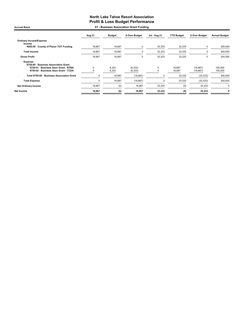#### North Lake Tahoe Resort Association Profit & Loss Budget Performance Accrual Basis 61 - Business Association Grant Funding

|                                                 | Aug 21   | <b>Budget</b> | \$ Over Budget | Jul - Aug 21 | <b>YTD Budget</b> | \$ Over Budget | <b>Annual Budget</b> |
|-------------------------------------------------|----------|---------------|----------------|--------------|-------------------|----------------|----------------------|
| <b>Ordinary Income/Expense</b><br>Income        |          |               |                |              |                   |                |                      |
| 4050-00 County of Placer TOT Funding            | 16,667   | 16,667        | 0              | 33,333       | 33,333            | $\Omega$       | 200,000              |
| <b>Total Income</b>                             | 16,667   | 16,667        | 0              | 33,333       | 33,333            |                | 200,000              |
| <b>Gross Profit</b>                             | 16,667   | 16,667        | 0              | 33,333       | 33,333            | 0              | 200,000              |
| Expense<br>6750-00 · Business Association Grant |          |               |                |              |                   |                |                      |
| 6750-01 · Business Assn Grant - NTBA            | $\Omega$ | 8,333         | (8,333)        | 0            | 16,667            | (16, 667)      | 100,000              |
| 6750-02 · Business Assn Grant - TCDA            |          | 8,333         | (8, 333)       |              | 16,667            | (16, 667)      | 100,000              |
| Total 6750-00 · Business Association Grant      |          | 16,667        | (16, 667)      | 0            | 33,333            | (33, 333)      | 200,000              |
| <b>Total Expense</b>                            |          | 16,667        | (16, 667)      | 0            | 33,333            | (33, 333)      | 200,000              |
| <b>Net Ordinary Income</b>                      | 16,667   | (0)           | 16,667         | 33,333       | (0)               | 33,333         | 0                    |
| Net Income                                      | 16,667   | (0)           | 16,667         | 33,333       | (0)               | 33,333         | 0                    |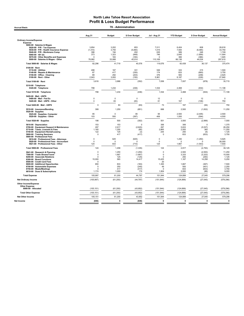| <b>Accrual Basis</b>                                                                                                                                                                                                                           | 70 - Administration                                   |                                                 |                                                   |                                                        |                                                 |                                                      |                                                         |
|------------------------------------------------------------------------------------------------------------------------------------------------------------------------------------------------------------------------------------------------|-------------------------------------------------------|-------------------------------------------------|---------------------------------------------------|--------------------------------------------------------|-------------------------------------------------|------------------------------------------------------|---------------------------------------------------------|
|                                                                                                                                                                                                                                                | Aug 21                                                | <b>Budget</b>                                   | \$ Over Budget                                    | Jul - Aug 21                                           | <b>YTD Budget</b>                               | \$ Over Budget                                       | <b>Annual Budget</b>                                    |
| <b>Ordinary Income/Expense</b><br><b>Expense</b>                                                                                                                                                                                               |                                                       |                                                 |                                                   |                                                        |                                                 |                                                      |                                                         |
| 5000-00 · Salaries & Wages<br>5020-00 · P/R - Tax Expense<br>5030-00 · P/R - Health Insurance Expense<br>5040-00 · P/R - Workmans Comp<br>5060-00 $\cdot$ 401 (k)<br>5070-00 Other Benefits and Expenses<br>5000-00 · Salaries & Wages - Other | 3.854<br>(1, 310)<br>396<br>373<br>$\Omega$<br>78,982 | 3.202<br>3,750<br>194<br>1,323<br>183<br>33,068 | 653<br>(5,060)<br>202<br>(949)<br>(183)<br>45,914 | 7.011<br>1.015<br>635<br>746<br>$\Omega$<br>110,169    | 6.404<br>7,500<br>389<br>2,645<br>366<br>66,136 | 608<br>(6, 485)<br>246<br>(1,899)<br>(366)<br>44,034 | 28.816<br>33.750<br>1,749<br>11,904<br>1,645<br>297,610 |
| Total 5000-00 · Salaries & Wages                                                                                                                                                                                                               | 82,296                                                | 41,719                                          | 40,576                                            | 119,576                                                | 83,439                                          | 36,137                                               | 375,474                                                 |
| 5100-00 · Rent<br>5110-00 · Utilities<br>5140-00 · Repairs & Maintenance<br>5150-00 · Office - Cleaning<br>5100-00 · Rent - Other                                                                                                              | 498<br>87<br>89<br>2,943                              | 167<br>417<br>292<br>3,093                      | 331<br>(330)<br>(203)<br>(150)                    | 549<br>174<br>376<br>5,961                             | 333<br>833<br>583<br>6,187                      | 215<br>(660)<br>(208)<br>(226)                       | 1,500<br>3,750<br>2,625<br>27,840                       |
| Total 5100-00 · Rent                                                                                                                                                                                                                           | 3,616                                                 | 3,968                                           | (352)                                             | 7,058                                                  | 7,937                                           | (878)                                                | 35,715                                                  |
| 5310-00 · Telephone<br>5320-00 · Telephone                                                                                                                                                                                                     | 798                                                   | 1,234                                           | (436)                                             | 1,534                                                  | 2,468                                           | (934)                                                | 11,108                                                  |
| Total 5310-00 · Telephone                                                                                                                                                                                                                      | 798                                                   | 1,234                                           | (436)                                             | 1,534                                                  | 2,468                                           | (934)                                                | 11,108                                                  |
| 5420-00 · Mail - USPS<br>5480-00 · Mail - Fed Ex<br>5420-00 · Mail - USPS - Other                                                                                                                                                              | $\mathbf 0$<br>$\mathbf 0$                            | $\mathbf 0$<br>83                               | $\mathbf 0$<br>(83)                               | 12<br>61                                               | $\Omega$<br>167                                 | 12<br>(106)                                          | $\mathbf 0$<br>750                                      |
| Total 5420-00 · Mail - USPS                                                                                                                                                                                                                    | $\mathbf 0$                                           | 83                                              | (83)                                              | 73                                                     | 167                                             | (94)                                                 | 750                                                     |
| 5510-00 · Insurance/Bonding<br>$5520-00 \cdot$ Supplies<br>5525-00 · Supplies- Computer                                                                                                                                                        | 399<br>95                                             | 1,250<br>$\mathsf 0$                            | (851)<br>95                                       | 668<br>95                                              | 2,500<br>2,500                                  | (1, 832)<br>(2, 405)                                 | 11,250<br>2,500                                         |
| 5520-00 · Supplies - Other                                                                                                                                                                                                                     | 103                                                   | 500                                             | (397)                                             | 406                                                    | 1,000                                           | (594)                                                | 4,500                                                   |
| Total 5520-00 · Supplies                                                                                                                                                                                                                       | 198                                                   | 500                                             | (302)                                             | 501                                                    | 3,500                                           | (2,999)                                              | 7,000                                                   |
| 5610-00 · Depreciation<br>5700-00 · Equipment Support & Maintenance<br>5710-00 · Taxes, Licenses & Fees<br>5740-00 · Equipment Rental/Leasing<br>5800-00 · Training Seminars<br>5900-00 · Professional Fees                                    | 153<br>297<br>1,165<br>122<br>$\mathbf 0$             | 153<br>2,917<br>1,250<br>125<br>417             | $\Omega$<br>(2,620)<br>(85)<br>(3)<br>(417)       | 306<br>297<br>2,865<br>244<br>$\Omega$                 | 306<br>5,833<br>2,500<br>250<br>833             | $\Omega$<br>(5, 537)<br>365<br>(6)<br>(833)          | 1,375<br>26,250<br>11,250<br>1,125<br>3,750             |
| 5910-00 · Professional Fees - Attorneys<br>5920-00 · Professional Fees - Accountant<br>5921-00 · Professional Fees - Other                                                                                                                     | 0<br>$\mathbf 0$<br>124                               | 625<br>0<br>833                                 | (625)<br>$\Omega$<br>(710)                        | 0<br>$\mathbf 0$<br>124                                | 1,250<br>$\Omega$<br>1,667                      | (1, 250)<br>$\Omega$<br>(1, 543)                     | 5,625<br>26,000<br>7,500                                |
| Total 5900-00 · Professional Fees                                                                                                                                                                                                              | 124                                                   | 1,458                                           | (1, 335)                                          | 124                                                    | 2,917                                           | (2,793)                                              | 39,125                                                  |
| 5941-00 · Research & Planning<br>7500-00 · Trade Shows/Travel<br>8200-00 · Associate Relations<br>8300-00 · Board Functions<br>8500-00 · Credit Card Fees                                                                                      | $\pmb{0}$<br>$\pmb{0}$<br>$\mathbf 0$<br>15,000<br>0  | 1,250<br>1,667<br>125<br>583                    | (1,250)<br>(1,667)<br>(125)<br>14,417             | $\mathsf 0$<br>$\mathbf 0$<br>$\Omega$<br>15,425<br>20 | 2,500<br>3,333<br>250<br>1,167                  | (2,500)<br>(3, 333)<br>(250)<br>14,258               | 11,250<br>15,000<br>1,125<br>5,250                      |
| 8600-00 · Additional Opportunites<br>8700-00 · Automobile Expenses<br>8750-00 · Meals/Meetings<br>8810-00 · Dues & Subscriptions                                                                                                               | 650<br>5<br>$\mathbf 0$<br>1,174                      | 833<br>250<br>417<br>1,000                      | (183)<br>(245)<br>(417)<br>174                    | 1,300<br>49<br>$\Omega$<br>1,904                       | 1,667<br>500<br>833<br>2,000                    | (367)<br>(451)<br>(833)<br>(96)                      | 7,500<br>2,250<br>3,750<br>9,000                        |
| <b>Total Expense</b>                                                                                                                                                                                                                           | 105,997                                               | 61,200                                          | 44,797                                            | 151,944                                                | 124,899                                         | 27,045                                               | 579,296                                                 |
| Net Ordinary Income                                                                                                                                                                                                                            | (105, 997)                                            | (61, 200)                                       | (44, 797)                                         | (151, 944)                                             | (124, 899)                                      | (27, 045)                                            | (579, 296)                                              |
| <b>Other Income/Expense</b><br><b>Other Expense</b><br>8990-00 · Allocated                                                                                                                                                                     | (105, 151)                                            | (61, 200)                                       | (43, 952)                                         | (151, 944)                                             | (124, 899)                                      | (27, 045)                                            | (579, 296)                                              |
| <b>Total Other Expense</b>                                                                                                                                                                                                                     | (105, 151)                                            | (61, 200)                                       | (43, 952)                                         | (151, 944)                                             | (124, 899)                                      | (27, 045)                                            | (579, 296)                                              |
| <b>Net Other Income</b>                                                                                                                                                                                                                        | 105,151                                               | 61,200                                          | 43,952                                            | 151,944                                                | 124,899                                         | 27,045                                               | 579,296                                                 |
| <b>Net Income</b>                                                                                                                                                                                                                              | (846)                                                 | $\mathbf{0}$                                    | (846)                                             | $\mathbf 0$                                            | $\mathbf{0}$                                    | $\Omega$                                             | $\mathbf{0}$                                            |